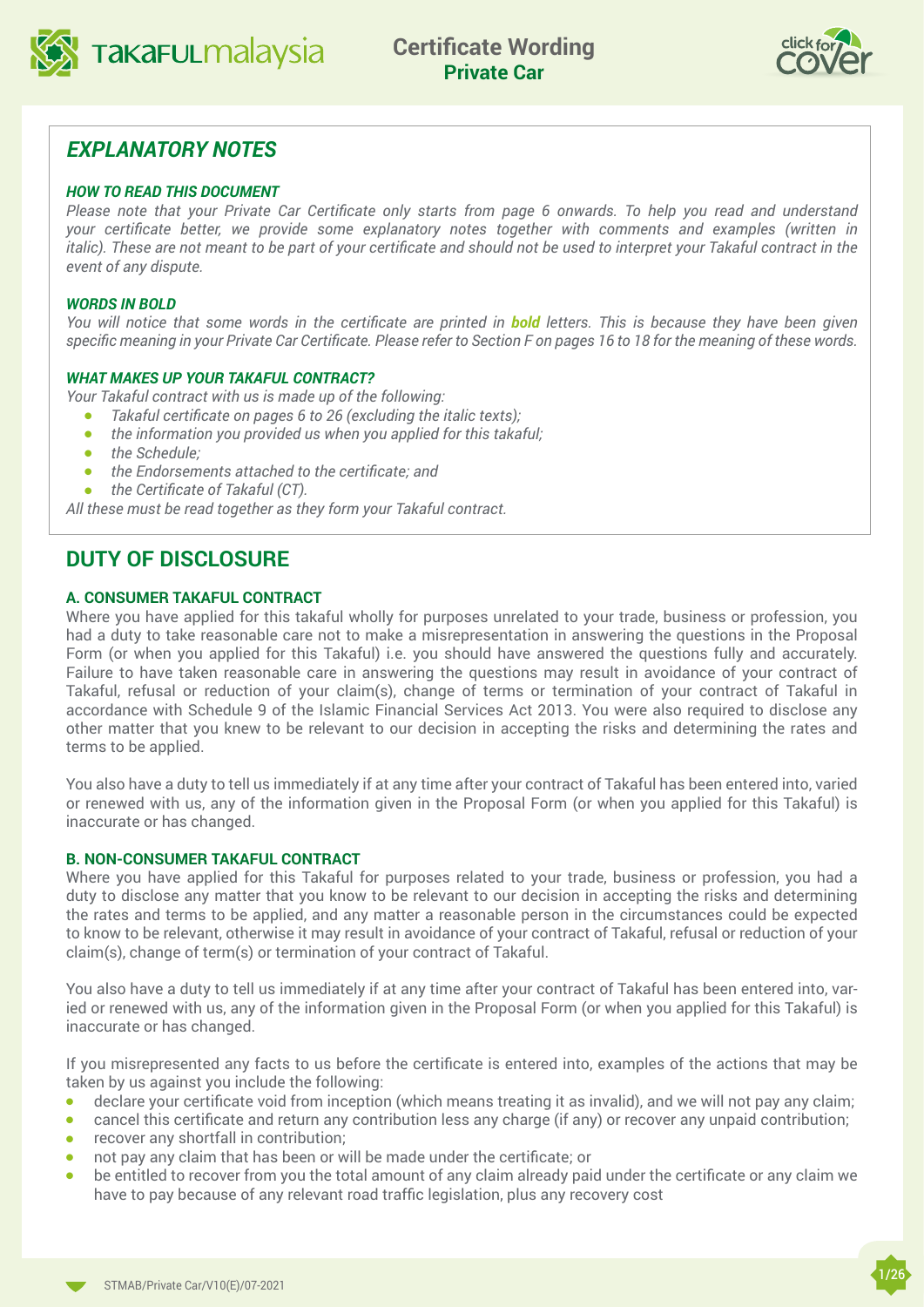



## *EXPLANATORY NOTES*

#### *HOW TO READ THIS DOCUMENT*

*Please note that your Private Car Certificate only starts from page 6 onwards. To help you read and understand your certificate better, we provide some explanatory notes together with comments and examples (written in italic). These are not meant to be part of your certificate and should not be used to interpret your Takaful contract in the event of any dispute.*

#### *WORDS IN BOLD*

*You will notice that some words in the certificate are printed in bold letters. This is because they have been given specific meaning in your Private Car Certificate. Please refer to Section F on pages 16 to 18 for the meaning of these words.*

#### *WHAT MAKES UP YOUR TAKAFUL CONTRACT?*

*Your Takaful contract with us is made up of the following:*

- <sup>l</sup> *Takaful certificate on pages 6 to 26 (excluding the italic texts);*
- **•** the information you provided us when you applied for this takaful;
- <sup>l</sup> *the Schedule;*
- **•** the Endorsements attached to the certificate; and
- **•** the Certificate of Takaful (CT).

*All these must be read together as they form your Takaful contract.*

## **DUTY OF DISCLOSURE**

#### **A. CONSUMER TAKAFUL CONTRACT**

Where you have applied for this takaful wholly for purposes unrelated to your trade, business or profession, you had a duty to take reasonable care not to make a misrepresentation in answering the questions in the Proposal Form (or when you applied for this Takaful) i.e. you should have answered the questions fully and accurately. Failure to have taken reasonable care in answering the questions may result in avoidance of your contract of Takaful, refusal or reduction of your claim(s), change of terms or termination of your contract of Takaful in accordance with Schedule 9 of the Islamic Financial Services Act 2013. You were also required to disclose any other matter that you knew to be relevant to our decision in accepting the risks and determining the rates and terms to be applied.

You also have a duty to tell us immediately if at any time after your contract of Takaful has been entered into, varied or renewed with us, any of the information given in the Proposal Form (or when you applied for this Takaful) is inaccurate or has changed.

#### **B. NON-CONSUMER TAKAFUL CONTRACT**

Where you have applied for this Takaful for purposes related to your trade, business or profession, you had a duty to disclose any matter that you know to be relevant to our decision in accepting the risks and determining the rates and terms to be applied, and any matter a reasonable person in the circumstances could be expected to know to be relevant, otherwise it may result in avoidance of your contract of Takaful, refusal or reduction of your claim(s), change of term(s) or termination of your contract of Takaful.

You also have a duty to tell us immediately if at any time after your contract of Takaful has been entered into, varied or renewed with us, any of the information given in the Proposal Form (or when you applied for this Takaful) is inaccurate or has changed.

If you misrepresented any facts to us before the certificate is entered into, examples of the actions that may be taken by us against you include the following:

- $\bullet$  declare your certificate void from inception (which means treating it as invalid), and we will not pay any claim;
- cancel this certificate and return any contribution less any charge (if any) or recover any unpaid contribution;
- $\bullet$  recover any shortfall in contribution;
- $\bullet$  not pay any claim that has been or will be made under the certificate; or
- be entitled to recover from you the total amount of any claim already paid under the certificate or any claim we have to pay because of any relevant road traffic legislation, plus any recovery cost

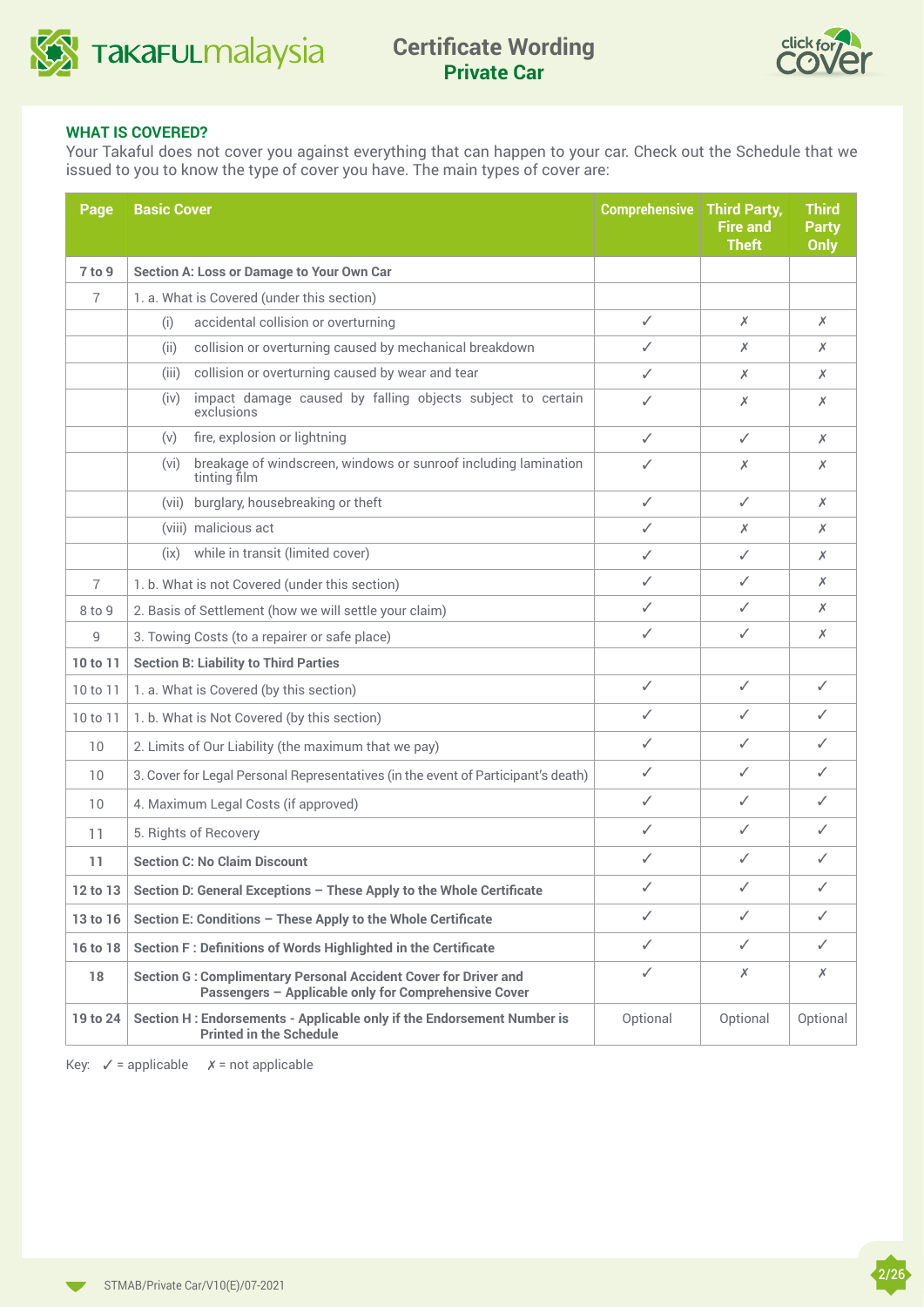



#### **WHAT IS COVERED?**

Your Takaful does not cover you against everything that can happen to your car. Check out the Schedule that we issued to you to know the type of cover you have. The main types of cover are:

| Page     | <b>Basic Cover</b>                                                                                                             | <b>Comprehensive</b> | <b>Third Party,</b><br><b>Fire and</b><br><b>Theft</b> | <b>Third</b><br><b>Party</b><br><b>Only</b> |
|----------|--------------------------------------------------------------------------------------------------------------------------------|----------------------|--------------------------------------------------------|---------------------------------------------|
| 7 to 9   | <b>Section A: Loss or Damage to Your Own Car</b>                                                                               |                      |                                                        |                                             |
| 7        | 1. a. What is Covered (under this section)                                                                                     |                      |                                                        |                                             |
|          | accidental collision or overturning<br>(i)                                                                                     | ✓                    | Х                                                      | Х                                           |
|          | collision or overturning caused by mechanical breakdown<br>(ii)                                                                | ✓                    | Х                                                      | Х                                           |
|          | collision or overturning caused by wear and tear<br>(iii)                                                                      | ✓                    | Х                                                      | Х                                           |
|          | impact damage caused by falling objects subject to certain<br>(iv)<br>exclusions                                               | ✓                    | Х                                                      | Х                                           |
|          | fire, explosion or lightning<br>(v)                                                                                            | ✓                    | ✓                                                      | Х                                           |
|          | breakage of windscreen, windows or sunroof including lamination<br>(vi)<br>tinting film                                        | ✓                    | Х                                                      | Х                                           |
|          | burglary, housebreaking or theft<br>(vii)                                                                                      | ✓                    | ✓                                                      | Х                                           |
|          | (viii) malicious act                                                                                                           | ✓                    | Х                                                      | Х                                           |
|          | while in transit (limited cover)<br>(ix)                                                                                       | ✓                    | ✓                                                      | Х                                           |
| 7        | 1. b. What is not Covered (under this section)                                                                                 | ✓                    | ✓                                                      | Х                                           |
| 8 to 9   | 2. Basis of Settlement (how we will settle your claim)                                                                         | ✓                    | ✓                                                      | Х                                           |
| 9        | 3. Towing Costs (to a repairer or safe place)                                                                                  | ✓                    | ✓                                                      | Х                                           |
| 10 to 11 | <b>Section B: Liability to Third Parties</b>                                                                                   |                      |                                                        |                                             |
| 10 to 11 | 1. a. What is Covered (by this section)                                                                                        | ✓                    | ✓                                                      | ✓                                           |
| 10 to 11 | 1. b. What is Not Covered (by this section)                                                                                    | ✓                    | ✓                                                      | ✓                                           |
| 10       | 2. Limits of Our Liability (the maximum that we pay)                                                                           | ✓                    | ✓                                                      | ✓                                           |
| 10       | 3. Cover for Legal Personal Representatives (in the event of Participant's death)                                              | ✓                    | ✓                                                      | ✓                                           |
| 10       | 4. Maximum Legal Costs (if approved)                                                                                           | ✓                    | ✓                                                      | ✓                                           |
| 11       | 5. Rights of Recovery                                                                                                          | ✓                    | ✓                                                      | ✓                                           |
| 11       | <b>Section C: No Claim Discount</b>                                                                                            | ✓                    | ✓                                                      | ✓                                           |
| 12 to 13 | Section D: General Exceptions - These Apply to the Whole Certificate                                                           | ✓                    | ✓                                                      | ✓                                           |
| 13 to 16 | Section E: Conditions - These Apply to the Whole Certificate                                                                   | ✓                    | ✓                                                      | ✓                                           |
| 16 to 18 | Section F: Definitions of Words Highlighted in the Certificate                                                                 | ✓                    | ✓                                                      | ✓                                           |
| 18       | <b>Section G: Complimentary Personal Accident Cover for Driver and</b><br>Passengers - Applicable only for Comprehensive Cover | ✓                    | Х                                                      | Х                                           |
| 19 to 24 | Section H: Endorsements - Applicable only if the Endorsement Number is<br><b>Printed in the Schedule</b>                       | Optional             | Optional                                               | Optional                                    |

Key:  $\checkmark$  = applicable  $\checkmark$  = not applicable

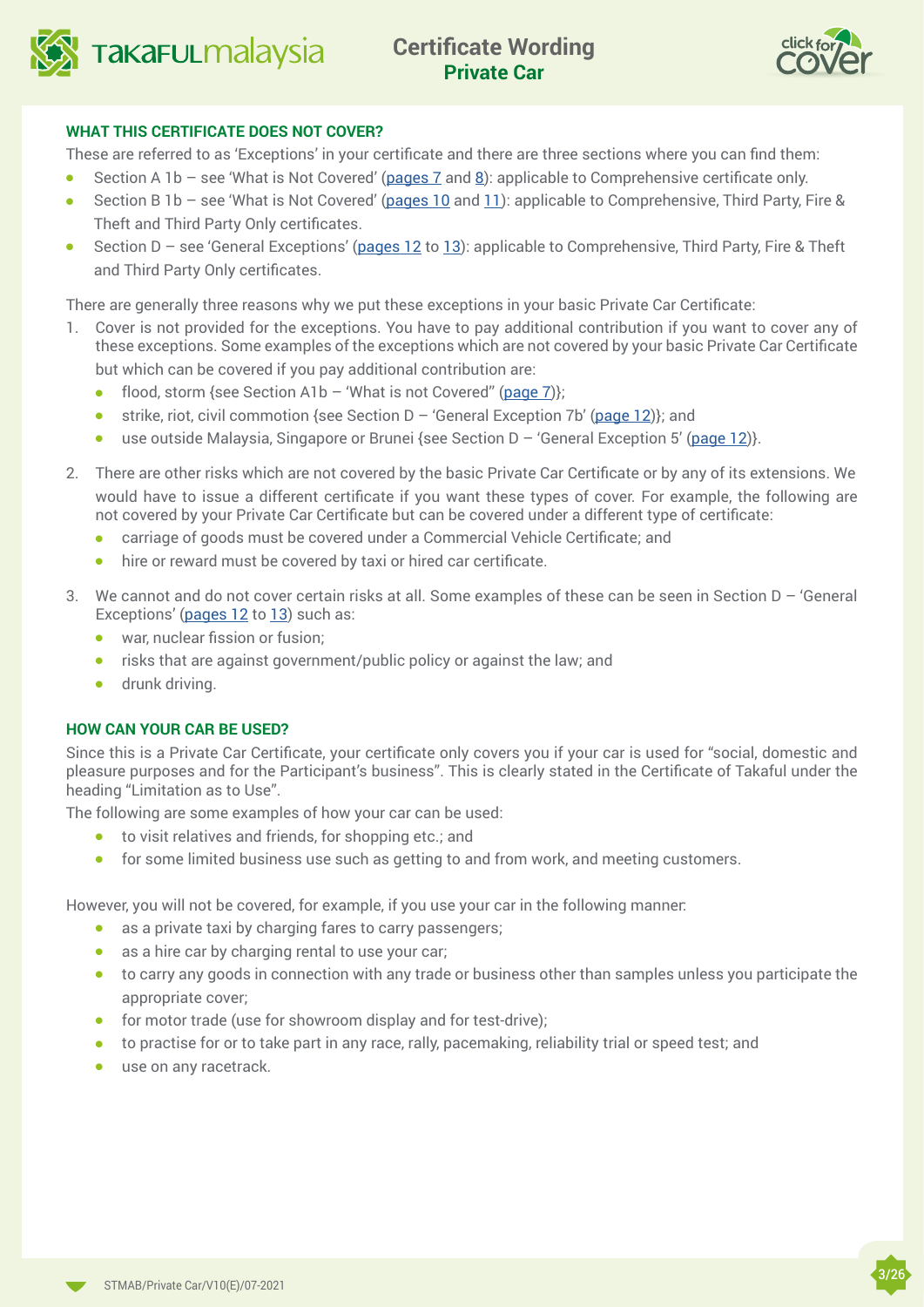



#### **WHAT THIS CERTIFICATE DOES NOT COVER?**

These are referred to as 'Exceptions' in your certificate and there are three sections where you can find them:

- **e** Section A 1b see 'What is Not Covered' (pages  $\overline{Z}$  and  $\underline{8}$ ): applicable to Comprehensive certificate only.
- **.** Section B 1b see 'What is Not Covered' ([pages 10](#page-9-0) and [11](#page-10-0)): applicable to Comprehensive, Third Party, Fire & Theft and Third Party Only certificates.
- **e** Section D see 'General Exceptions' [\(pages 12](#page-11-0) to [1](#page-12-0)3): applicable to Comprehensive, Third Party, Fire & Theft and Third Party Only certificates.

There are generally three reasons why we put these exceptions in your basic Private Car Certificate:

- 1. Cover is not provided for the exceptions. You have to pay additional contribution if you want to cover any of these exceptions. Some examples of the exceptions which are not covered by your basic Private Car Certificate but which can be covered if you pay additional contribution are:
	- flood, storm {see Section A1b 'What is not Covered" ([page 7](#page-6-0)) $\}$ ;
	- **strike, riot, civil commotion {see Section D 'General Exception 7b' ([page](#page-11-0) 12)}; and**
	- **.** use outside Malaysia, Singapore or Brunei {see Section  $D -$  'General Exception 5' ([page](#page-11-0) 12)}.
- 2. There are other risks which are not covered by the basic Private Car Certificate or by any of its extensions. We would have to issue a different certificate if you want these types of cover. For example, the following are not covered by your Private Car Certificate but can be covered under a different type of certificate:
	- <sup>l</sup> carriage of goods must be covered under a Commercial Vehicle Certificate; and
	- hire or reward must be covered by taxi or hired car certificate.
- 3. We cannot and do not cover certain risks at all. Some examples of these can be seen in Section D 'General Exceptions' ([pages 12](#page-11-0) to [13](#page-12-0)) such as:
	- **•** war, nuclear fission or fusion;
	- $\bullet$  risks that are against government/public policy or against the law; and
	- $\bullet$  drunk driving.

#### **HOW CAN YOUR CAR BE USED?**

Since this is a Private Car Certificate, your certificate only covers you if your car is used for "social, domestic and pleasure purposes and for the Participant's business". This is clearly stated in the Certificate of Takaful under the heading "Limitation as to Use".

The following are some examples of how your car can be used:

- $\bullet$  to visit relatives and friends, for shopping etc.; and
- $\bullet$  for some limited business use such as getting to and from work, and meeting customers.

However, you will not be covered, for example, if you use your car in the following manner:

- $\bullet$  as a private taxi by charging fares to carry passengers;
- $\bullet$  as a hire car by charging rental to use your car;
- to carry any goods in connection with any trade or business other than samples unless you participate the appropriate cover;
- $\bullet$  for motor trade (use for showroom display and for test-drive);
- $\bullet$  to practise for or to take part in any race, rally, pacemaking, reliability trial or speed test; and
- $\bullet$  use on any racetrack.

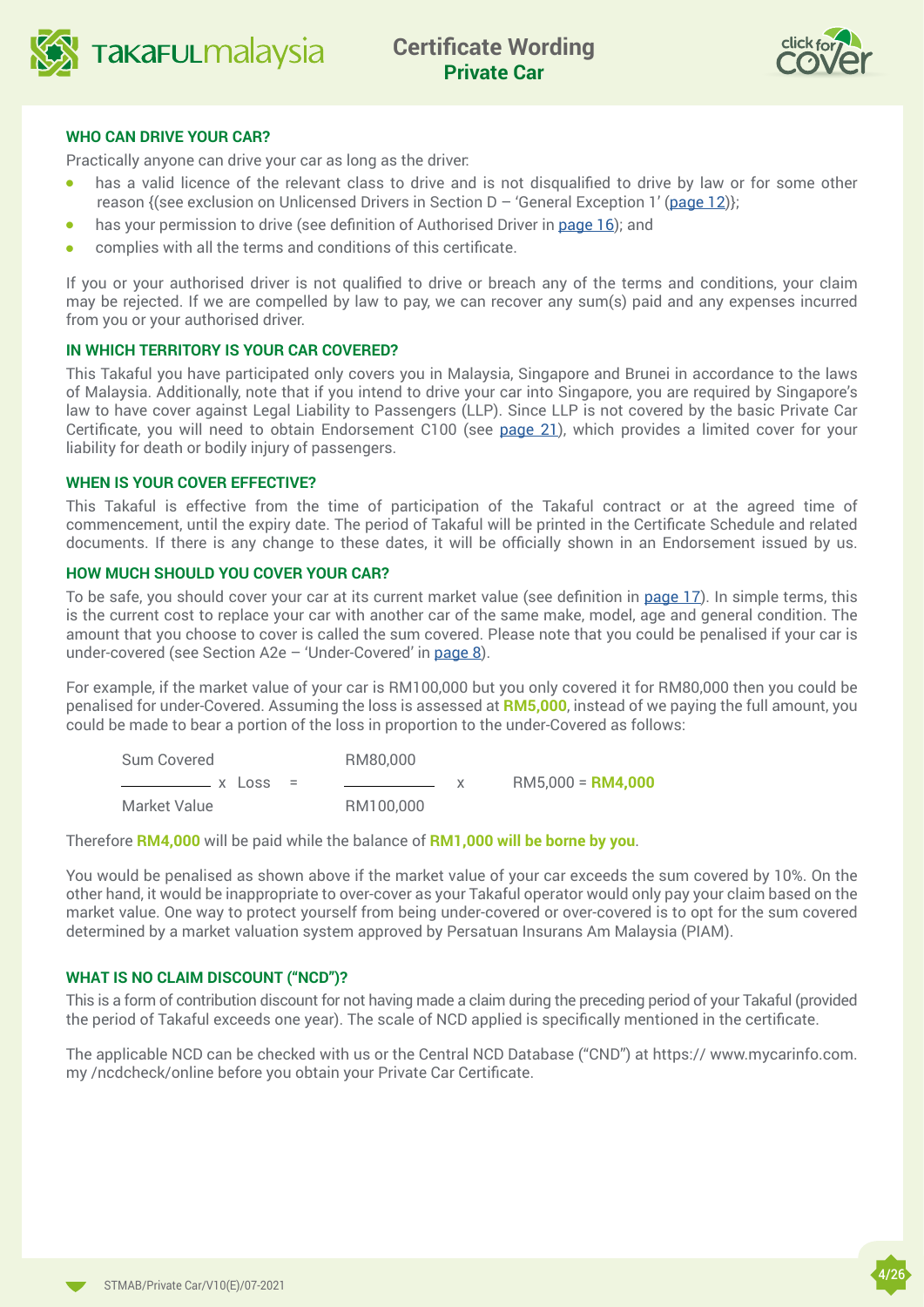



#### **WHO CAN DRIVE YOUR CAR?**

Practically anyone can drive your car as long as the driver:

- has a valid licence of the relevant class to drive and is not disqualified to drive by law or for some other reason {(see exclusion on Unlicensed Drivers in Section D – 'General Exception 1' ([page 12](#page-11-0))};
- **.** has your permission to drive (see definition of Authorised Driver in page  $16$ ); and
- complies with all the terms and conditions of this certificate.

If you or your authorised driver is not qualified to drive or breach any of the terms and conditions, your claim may be rejected. If we are compelled by law to pay, we can recover any sum(s) paid and any expenses incurred from you or your authorised driver.

#### **IN WHICH TERRITORY IS YOUR CAR COVERED?**

This Takaful you have participated only covers you in Malaysia, Singapore and Brunei in accordance to the laws of Malaysia. Additionally, note that if you intend to drive your car into Singapore, you are required by Singapore's law to have cover against Legal Liability to Passengers (LLP). Since LLP is not covered by the basic Private Car Certificate, you will need to obtain Endorsement C100 (see [page 2](#page-20-0)1), which provides a limited cover for your liability for death or bodily injury of passengers.

#### **WHEN IS YOUR COVER EFFECTIVE?**

This Takaful is effective from the time of participation of the Takaful contract or at the agreed time of commencement, until the expiry date. The period of Takaful will be printed in the Certificate Schedule and related documents. If there is any change to these dates, it will be officially shown in an Endorsement issued by us.

#### **HOW MUCH SHOULD YOU COVER YOUR CAR?**

To be safe, you should cover your car at its current market value (see definition in [page 17](#page-16-0)). In simple terms, this is the current cost to replace your car with another car of the same make, model, age and general condition. The amount that you choose to cover is called the sum covered. Please note that you could be penalised if your car is under-covered (see Section A2e  $-$  'Under-Covered' in [page 8](#page-7-0)).

For example, if the market value of your car is RM100,000 but you only covered it for RM80,000 then you could be penalised for under-Covered. Assuming the loss is assessed at **RM5,000**, instead of we paying the full amount, you could be made to bear a portion of the loss in proportion to the under-Covered as follows:

| Sum Covered      | RM80,000  |                     |
|------------------|-----------|---------------------|
| $x \text{ loss}$ |           | $RM5.000 = RM4.000$ |
| Market Value     | RM100,000 |                     |

Therefore **RM4,000** will be paid while the balance of **RM1,000 will be borne by you**.

You would be penalised as shown above if the market value of your car exceeds the sum covered by 10%. On the other hand, it would be inappropriate to over-cover as your Takaful operator would only pay your claim based on the market value. One way to protect yourself from being under-covered or over-covered is to opt for the sum covered determined by a market valuation system approved by Persatuan Insurans Am Malaysia (PIAM).

#### **WHAT IS NO CLAIM DISCOUNT ("NCD")?**

This is a form of contribution discount for not having made a claim during the preceding period of your Takaful (provided the period of Takaful exceeds one year). The scale of NCD applied is specifically mentioned in the certificate.

The applicable NCD can be checked with us or the Central NCD Database ("CND") at https:// www.mycarinfo.com. my /ncdcheck/online before you obtain your Private Car Certificate.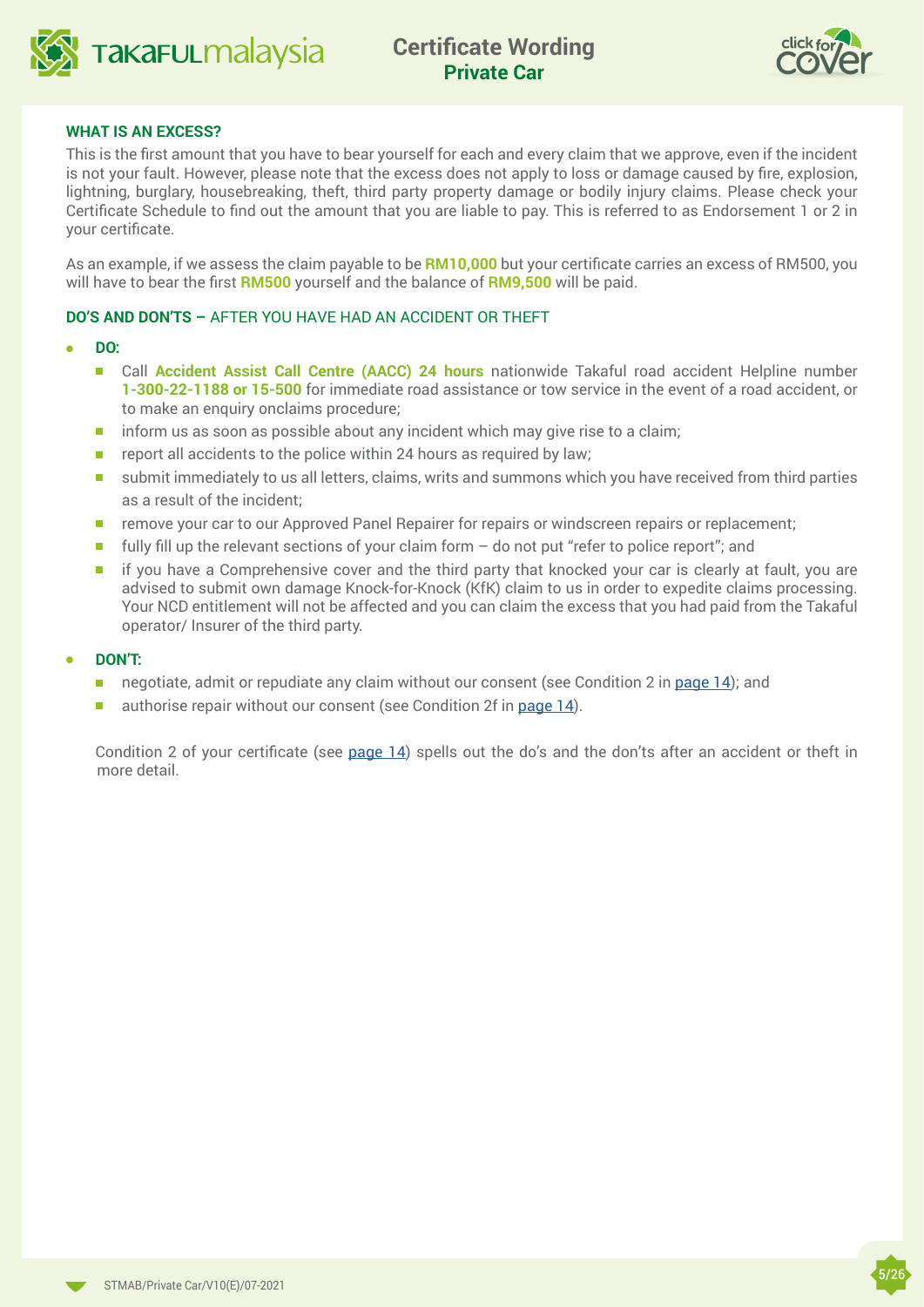



#### **WHAT IS AN EXCESS?**

This is the first amount that you have to bear yourself for each and every claim that we approve, even if the incident is not your fault. However, please note that the excess does not apply to loss or damage caused by fire, explosion, lightning, burglary, housebreaking, theft, third party property damage or bodily injury claims. Please check your Certificate Schedule to find out the amount that you are liable to pay. This is referred to as Endorsement 1 or 2 in your certificate.

As an example, if we assess the claim payable to be **RM10,000** but your certificate carries an excess of RM500, you will have to bear the first **RM500** yourself and the balance of **RM9,500** will be paid.

#### **DO'S AND DON'TS –** AFTER YOU HAVE HAD AN ACCIDENT OR THEFT

#### <sup>l</sup> **DO:**

- **n** Call **Accident Assist Call Centre (AACC) 24 hours** nationwide Takaful road accident Helpline number **1-300-22-1188 or 15-500** for immediate road assistance or tow service in the event of a road accident, or to make an enquiry onclaims procedure;
- $\blacksquare$  inform us as soon as possible about any incident which may give rise to a claim;
- $\blacksquare$  report all accidents to the police within 24 hours as required by law;
- submit immediately to us all letters, claims, writs and summons which you have received from third parties as a result of the incident;
- n remove your car to our Approved Panel Repairer for repairs or windscreen repairs or replacement;
- Filly fill up the relevant sections of your claim form do not put "refer to police report"; and
- **nif you have a Comprehensive cover and the third party that knocked your car is clearly at fault, you are**  advised to submit own damage Knock-for-Knock (KfK) claim to us in order to expedite claims processing. Your NCD entitlement will not be affected and you can claim the excess that you had paid from the Takaful operator/ Insurer of the third party.

#### <sup>l</sup> **DON'T:**

- negotiate, admit or repudiate any claim without our consent (see Condition 2 in page  $14$ ); and
- authorise repair without our consent (see Condition 2f in [page 1](#page-13-0)4).

Condition 2 of your certificate (see [page](#page-13-0) 14) spells out the do's and the don'ts after an accident or theft in more detail.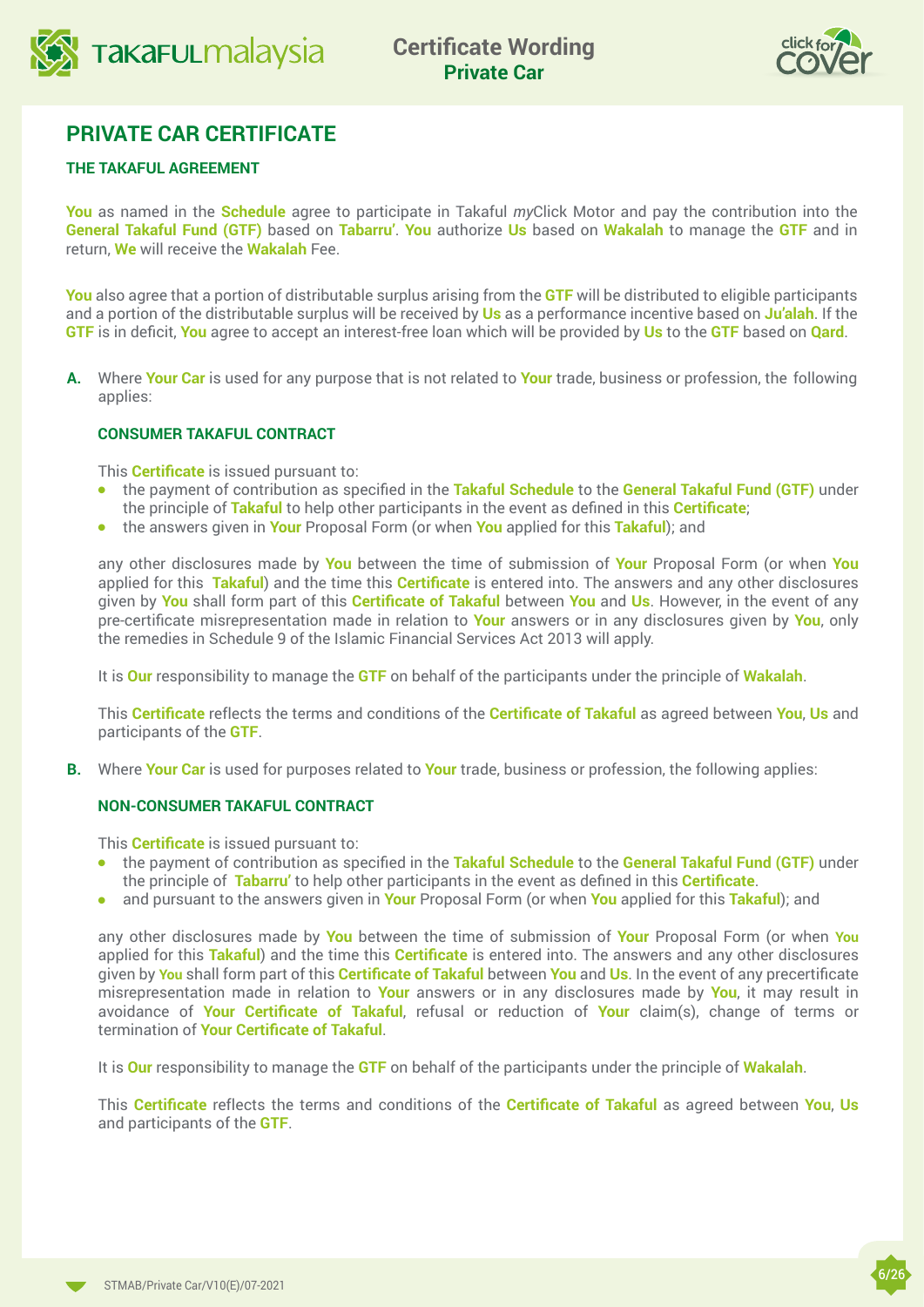



## **PRIVATE CAR CERTIFICATE**

### **THE TAKAFUL AGREEMENT**

**You** as named in the **Schedule** agree to participate in Takaful *my*Click Motor and pay the contribution into the **General Takaful Fund (GTF)** based on **Tabarru'**. **You** authorize **Us** based on **Wakalah** to manage the **GTF** and in return, **We** will receive the **Wakalah** Fee.

**You** also agree that a portion of distributable surplus arising from the **GTF** will be distributed to eligible participants and a portion of the distributable surplus will be received by **Us** as a performance incentive based on **Ju'alah**. If the **GTF** is in deficit, **You** agree to accept an interest-free loan which will be provided by **Us** to the **GTF** based on **Qard**.

**A.** Where **Your Car** is used for any purpose that is not related to **Your** trade, business or profession, the following applies:

#### **CONSUMER TAKAFUL CONTRACT**

This **Certificate** is issued pursuant to:

- **•** the payment of contribution as specified in the **Takaful Schedule** to the **General Takaful Fund (GTF)** under the principle of **Takaful** to help other participants in the event as defined in this **Certificate**;
- **•** the answers given in **Your** Proposal Form (or when **You** applied for this **Takaful**); and

any other disclosures made by **You** between the time of submission of **Your** Proposal Form (or when **You** applied for this **Takaful**) and the time this **Certificate** is entered into. The answers and any other disclosures given by **You** shall form part of this **Certificate of Takaful** between **You** and **Us**. However, in the event of any pre-certificate misrepresentation made in relation to **Your** answers or in any disclosures given by **You**, only the remedies in Schedule 9 of the Islamic Financial Services Act 2013 will apply.

It is **Our** responsibility to manage the **GTF** on behalf of the participants under the principle of **Wakalah**.

This **Certificate** reflects the terms and conditions of the **Certificate of Takaful** as agreed between **You**, **Us** and participants of the **GTF**.

**B.** Where **Your Car** is used for purposes related to **Your** trade, business or profession, the following applies:

#### **NON-CONSUMER TAKAFUL CONTRACT**

This **Certificate** is issued pursuant to:

- **•** the payment of contribution as specified in the **Takaful Schedule** to the **General Takaful Fund (GTF)** under the principle of **Tabarru'** to help other participants in the event as defined in this **Certificate**.
- <sup>l</sup> and pursuant to the answers given in **Your** Proposal Form (or when **You** applied for this **Takaful**); and

any other disclosures made by **You** between the time of submission of **Your** Proposal Form (or when **You** applied for this **Takaful**) and the time this **Certificate** is entered into. The answers and any other disclosures given by **You** shall form part of this **Certificate of Takaful** between **You** and **Us**. In the event of any precertificate misrepresentation made in relation to **Your** answers or in any disclosures made by **You**, it may result in avoidance of **Your Certificate of Takaful**, refusal or reduction of **Your** claim(s), change of terms or termination of **Your Certificate of Takaful**.

It is **Our** responsibility to manage the **GTF** on behalf of the participants under the principle of **Wakalah**.

This **Certificate** reflects the terms and conditions of the **Certificate of Takaful** as agreed between **You**, **Us** and participants of the **GTF**.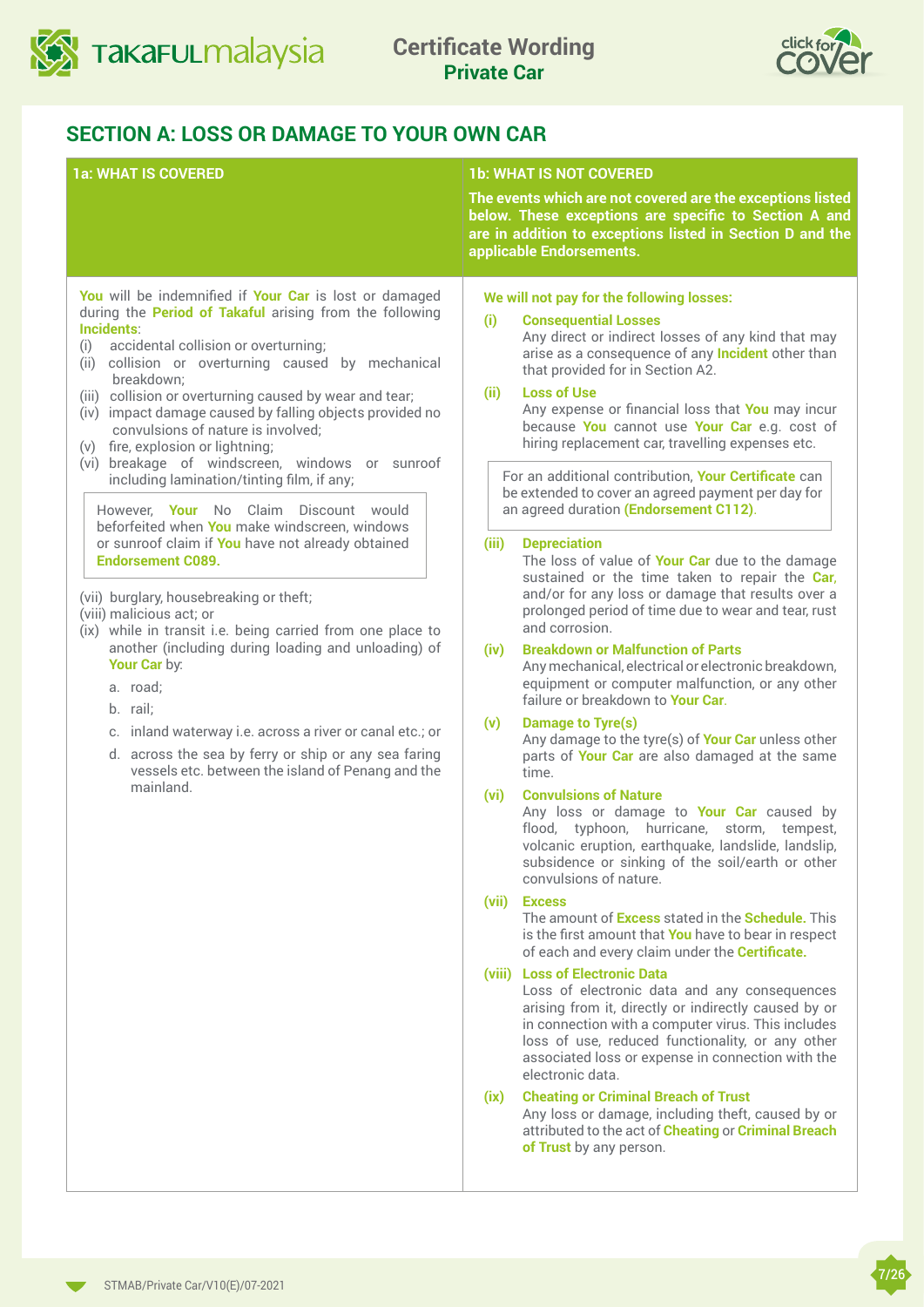<span id="page-6-0"></span>



## **SECTION A: LOSS OR DAMAGE TO YOUR OWN CAR**

|                                                                                                                                                                                                                                                                                                                                                                                                                                                                                                                                                                                                                                                                                                                                                                                                                                                                                                                                                                                                                                                                                                                                                               | <b>1b: WHAT IS NOT COVERED</b>                                                                                                                                                                                                                                                                                                                                                                                                                                                                                                                                                                                                                                                                                                                                                                                                                                                                                                                                                                                                                                                                                                                                                                                                                                                                                                                                                                                                                                                                                                                                                                                                                                                                                                                                                                                                                                                                                                                                                                                                                                                                                                                                                                                           |
|---------------------------------------------------------------------------------------------------------------------------------------------------------------------------------------------------------------------------------------------------------------------------------------------------------------------------------------------------------------------------------------------------------------------------------------------------------------------------------------------------------------------------------------------------------------------------------------------------------------------------------------------------------------------------------------------------------------------------------------------------------------------------------------------------------------------------------------------------------------------------------------------------------------------------------------------------------------------------------------------------------------------------------------------------------------------------------------------------------------------------------------------------------------|--------------------------------------------------------------------------------------------------------------------------------------------------------------------------------------------------------------------------------------------------------------------------------------------------------------------------------------------------------------------------------------------------------------------------------------------------------------------------------------------------------------------------------------------------------------------------------------------------------------------------------------------------------------------------------------------------------------------------------------------------------------------------------------------------------------------------------------------------------------------------------------------------------------------------------------------------------------------------------------------------------------------------------------------------------------------------------------------------------------------------------------------------------------------------------------------------------------------------------------------------------------------------------------------------------------------------------------------------------------------------------------------------------------------------------------------------------------------------------------------------------------------------------------------------------------------------------------------------------------------------------------------------------------------------------------------------------------------------------------------------------------------------------------------------------------------------------------------------------------------------------------------------------------------------------------------------------------------------------------------------------------------------------------------------------------------------------------------------------------------------------------------------------------------------------------------------------------------------|
| <b>1a: WHAT IS COVERED</b>                                                                                                                                                                                                                                                                                                                                                                                                                                                                                                                                                                                                                                                                                                                                                                                                                                                                                                                                                                                                                                                                                                                                    | The events which are not covered are the exceptions listed<br>below. These exceptions are specific to Section A and<br>are in addition to exceptions listed in Section D and the<br>applicable Endorsements.                                                                                                                                                                                                                                                                                                                                                                                                                                                                                                                                                                                                                                                                                                                                                                                                                                                                                                                                                                                                                                                                                                                                                                                                                                                                                                                                                                                                                                                                                                                                                                                                                                                                                                                                                                                                                                                                                                                                                                                                             |
| You will be indemnified if Your Car is lost or damaged<br>during the Period of Takaful arising from the following<br>Incidents:<br>accidental collision or overturning;<br>(i)<br>collision or overturning caused by mechanical<br>(ii)<br>breakdown;<br>(iii) collision or overturning caused by wear and tear;<br>(iv) impact damage caused by falling objects provided no<br>convulsions of nature is involved;<br>(v) fire, explosion or lightning;<br>(vi) breakage of windscreen, windows or sunroof<br>including lamination/tinting film, if any;<br>However. Your No Claim Discount would<br>beforfeited when You make windscreen, windows<br>or sunroof claim if You have not already obtained<br><b>Endorsement C089.</b><br>(vii) burglary, housebreaking or theft;<br>(viii) malicious act; or<br>(ix) while in transit i.e. being carried from one place to<br>another (including during loading and unloading) of<br>Your Car by:<br>a. road;<br>b. rail:<br>c. inland waterway i.e. across a river or canal etc.; or<br>d. across the sea by ferry or ship or any sea faring<br>vessels etc. between the island of Penang and the<br>mainland. | We will not pay for the following losses:<br>(i)<br><b>Consequential Losses</b><br>Any direct or indirect losses of any kind that may<br>arise as a consequence of any <b>Incident</b> other than<br>that provided for in Section A2.<br><b>Loss of Use</b><br>(ii)<br>Any expense or financial loss that You may incur<br>because You cannot use Your Car e.g. cost of<br>hiring replacement car, travelling expenses etc.<br>For an additional contribution, Your Certificate can<br>be extended to cover an agreed payment per day for<br>an agreed duration (Endorsement C112).<br><b>Depreciation</b><br>(iii)<br>The loss of value of Your Car due to the damage<br>sustained or the time taken to repair the Car,<br>and/or for any loss or damage that results over a<br>prolonged period of time due to wear and tear, rust<br>and corrosion.<br><b>Breakdown or Malfunction of Parts</b><br>(iv)<br>Any mechanical, electrical or electronic breakdown,<br>equipment or computer malfunction, or any other<br>failure or breakdown to Your Car.<br><b>Damage to Tyre(s)</b><br>(v)<br>Any damage to the tyre(s) of Your Car unless other<br>parts of Your Car are also damaged at the same<br>time.<br><b>Convulsions of Nature</b><br>(vi)<br>Any loss or damage to Your Car caused by<br>flood, typhoon, hurricane, storm, tempest,<br>volcanic eruption, earthquake, landslide, landslip,<br>subsidence or sinking of the soil/earth or other<br>convulsions of nature.<br>(vii)<br><b>Excess</b><br>The amount of <b>Excess</b> stated in the <b>Schedule</b> . This<br>is the first amount that You have to bear in respect<br>of each and every claim under the Certificate.<br>(viii) Loss of Electronic Data<br>Loss of electronic data and any consequences<br>arising from it, directly or indirectly caused by or<br>in connection with a computer virus. This includes<br>loss of use, reduced functionality, or any other<br>associated loss or expense in connection with the<br>electronic data.<br><b>Cheating or Criminal Breach of Trust</b><br>(ix)<br>Any loss or damage, including theft, caused by or<br>attributed to the act of Cheating or Criminal Breach<br>of Trust by any person. |

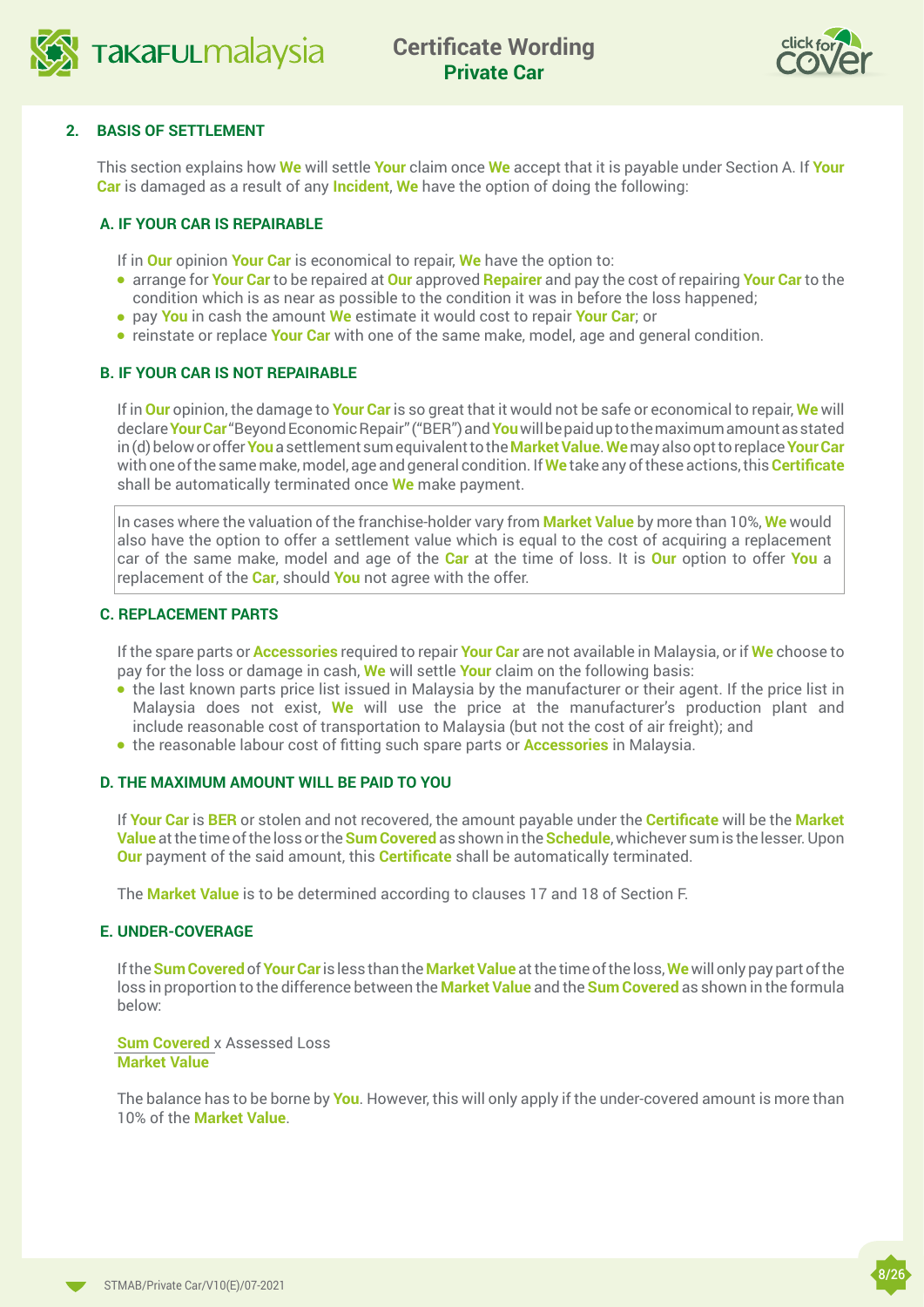<span id="page-7-0"></span>



#### **2. BASIS OF SETTLEMENT**

This section explains how **We** will settle **Your** claim once **We** accept that it is payable under Section A. If **Your Car** is damaged as a result of any **Incident**, **We** have the option of doing the following:

#### **A. IF YOUR CAR IS REPAIRABLE**

If in **Our** opinion **Your Car** is economical to repair, **We** have the option to:

- **e** arrange for **Your Car** to be repaired at **Our** approved **Repairer** and pay the cost of repairing Your Car to the condition which is as near as possible to the condition it was in before the loss happened;
- <sup>l</sup> pay **You** in cash the amount **We** estimate it would cost to repair **Your Car**; or
- **•** reinstate or replace **Your Car** with one of the same make, model, age and general condition.

#### **B. IF YOUR CAR IS NOT REPAIRABLE**

If in **Our** opinion, the damage to **Your Car** is so great that it would not be safe or economical to repair, **We** will declare **Your Car** "Beyond Economic Repair" ("BER") and **You** will be paid up to the maximum amount as stated in (d) below or offer **You** a settlement sum equivalent to the **Market Value**. **We** may also opt to replace **Your Car** with one of the same make, model, age and general condition. If **We** take any of these actions, this **Certificate**  shall be automatically terminated once **We** make payment.

In cases where the valuation of the franchise-holder vary from **Market Value** by more than 10%, **We** would also have the option to offer a settlement value which is equal to the cost of acquiring a replacement car of the same make, model and age of the **Car** at the time of loss. It is **Our** option to offer **You** a replacement of the **Car**, should **You** not agree with the offer.

#### **C. REPLACEMENT PARTS**

If the spare parts or **Accessories** required to repair **Your Car** are not available in Malaysia, or if **We** choose to pay for the loss or damage in cash, **We** will settle **Your** claim on the following basis:

- the last known parts price list issued in Malaysia by the manufacturer or their agent. If the price list in Malaysia does not exist, **We** will use the price at the manufacturer's production plant and include reasonable cost of transportation to Malaysia (but not the cost of air freight); and
- **the reasonable labour cost of fitting such spare parts or <b>Accessories** in Malaysia.

#### **D. THE MAXIMUM AMOUNT WILL BE PAID TO YOU**

If **Your Car** is **BER** or stolen and not recovered, the amount payable under the **Certificate** will be the **Market Value** at the time of the loss or the **Sum Covered** as shown in the **Schedule**, whichever sum is the lesser. Upon **Our** payment of the said amount, this **Certificate** shall be automatically terminated.

The **Market Value** is to be determined according to clauses 17 and 18 of Section F.

#### **E. UNDER-COVERAGE**

If the **Sum Covered** of **Your Car** is less than the **Market Value** at the time of the loss, **We** will only pay part of the loss in proportion to the difference between the **Market Value** and the **Sum Covered** as shown in the formula below:

**Sum Covered** x Assessed Loss **Market Value**

The balance has to be borne by **You**. However, this will only apply if the under-covered amount is more than 10% of the **Market Value**.

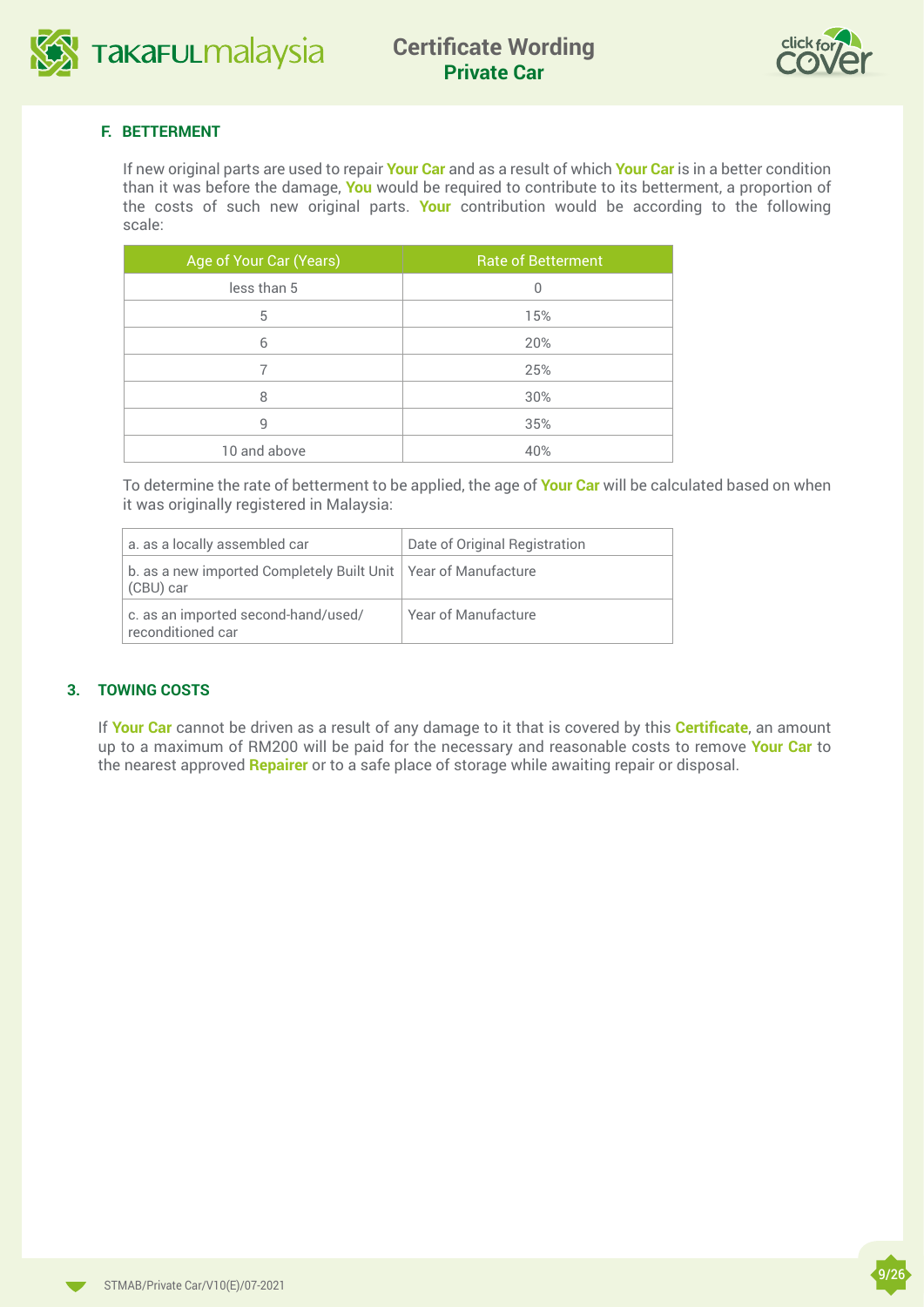



#### **F. BETTERMENT**

If new original parts are used to repair **Your Car** and as a result of which **Your Car** is in a better condition than it was before the damage, **You** would be required to contribute to its betterment, a proportion of the costs of such new original parts. **Your** contribution would be according to the following scale:

| Age of Your Car (Years) | <b>Rate of Betterment</b> |
|-------------------------|---------------------------|
| less than 5             | 0                         |
| 5                       | 15%                       |
| 6                       | 20%                       |
|                         | 25%                       |
| 8                       | 30%                       |
| 9                       | 35%                       |
| 10 and above            | 40%                       |

To determine the rate of betterment to be applied, the age of **Your Car** will be calculated based on when it was originally registered in Malaysia:

| a. as a locally assembled car                                                 | Date of Original Registration |
|-------------------------------------------------------------------------------|-------------------------------|
| b. as a new imported Completely Built Unit   Year of Manufacture<br>(CBU) car |                               |
| c. as an imported second-hand/used/<br>reconditioned car                      | Year of Manufacture           |

#### **3. TOWING COSTS**

If **Your Car** cannot be driven as a result of any damage to it that is covered by this **Certificate**, an amount up to a maximum of RM200 will be paid for the necessary and reasonable costs to remove **Your Car** to the nearest approved **Repairer** or to a safe place of storage while awaiting repair or disposal.

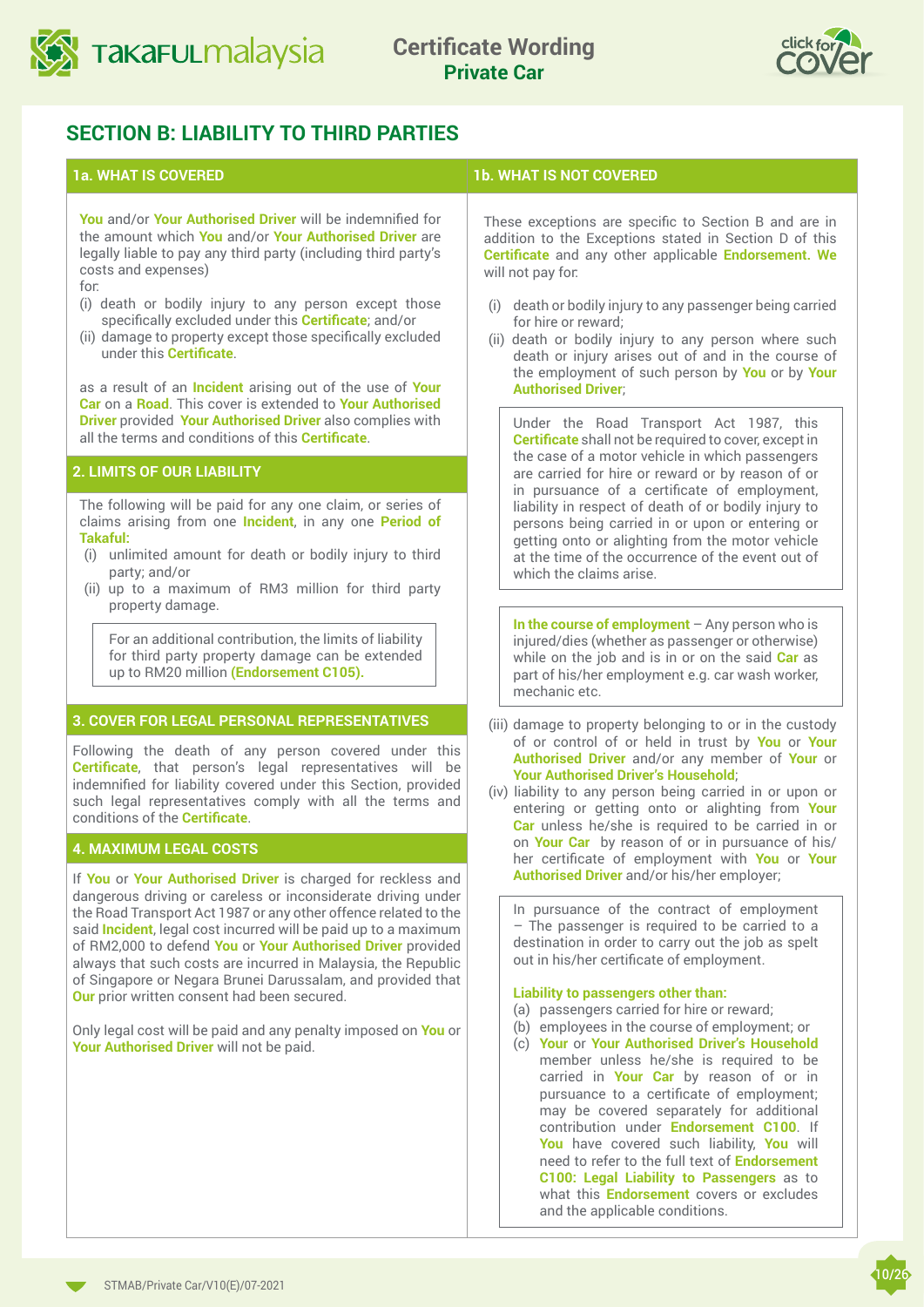<span id="page-9-0"></span>



## **SECTION B: LIABILITY TO THIRD PARTIES**

**You** and/or **Your Authorised Driver** will be indemnified for the amount which **You** and/or **Your Authorised Driver** are legally liable to pay any third party (including third party's costs and expenses)

for:

- (i) death or bodily injury to any person except those specifically excluded under this **Certificate**; and/or
- (ii) damage to property except those specifically excluded under this **Certificate**.

as a result of an **Incident** arising out of the use of **Your Car** on a **Road**. This cover is extended to **Your Authorised Driver** provided **Your Authorised Driver** also complies with all the terms and conditions of this **Certificate**.

#### **2. LIMITS OF OUR LIABILITY**

The following will be paid for any one claim, or series of claims arising from one **Incident**, in any one **Period of Takaful:**

- (i) unlimited amount for death or bodily injury to third party; and/or
- (ii) up to a maximum of RM3 million for third party property damage.

For an additional contribution, the limits of liability for third party property damage can be extended up to RM20 million **(Endorsement C105).**

#### **3. COVER FOR LEGAL PERSONAL REPRESENTATIVES**

Following the death of any person covered under this **Certificate**, that person's legal representatives will be indemnified for liability covered under this Section, provided such legal representatives comply with all the terms and conditions of the **Certificate**.

#### **4. MAXIMUM LEGAL COSTS**

If **You** or **Your Authorised Driver** is charged for reckless and dangerous driving or careless or inconsiderate driving under the Road Transport Act 1987 or any other offence related to the said **Incident**, legal cost incurred will be paid up to a maximum of RM2,000 to defend **You** or **Your Authorised Driver** provided always that such costs are incurred in Malaysia, the Republic of Singapore or Negara Brunei Darussalam, and provided that **Our** prior written consent had been secured.

Only legal cost will be paid and any penalty imposed on **You** or **Your Authorised Driver** will not be paid.

#### **1a. WHAT IS COVERED 1b. WHAT IS NOT COVERED**

These exceptions are specific to Section B and are in addition to the Exceptions stated in Section D of this **Certificate** and any other applicable **Endorsement. We**  will not pay for:

- (i) death or bodily injury to any passenger being carried for hire or reward;
- (ii) death or bodily injury to any person where such death or injury arises out of and in the course of the employment of such person by **You** or by **Your Authorised Driver**;

Under the Road Transport Act 1987, this **Certificate** shall not be required to cover, except in the case of a motor vehicle in which passengers are carried for hire or reward or by reason of or in pursuance of a certificate of employment, liability in respect of death of or bodily injury to persons being carried in or upon or entering or getting onto or alighting from the motor vehicle at the time of the occurrence of the event out of which the claims arise.

**In the course of employment** – Any person who is injured/dies (whether as passenger or otherwise) while on the job and is in or on the said **Car** as part of his/her employment e.g. car wash worker, mechanic etc.

- (iii) damage to property belonging to or in the custody of or control of or held in trust by **You** or **Your Authorised Driver** and/or any member of **Your** or **Your Authorised Driver's Household**;
- (iv) liability to any person being carried in or upon or entering or getting onto or alighting from **Your Car** unless he/she is required to be carried in or on **Your Car** by reason of or in pursuance of his/ her certificate of employment with **You** or **Your Authorised Driver** and/or his/her employer;

In pursuance of the contract of employment – The passenger is required to be carried to a destination in order to carry out the job as spelt out in his/her certificate of employment.

#### **Liability to passengers other than:**

- (a) passengers carried for hire or reward;
- (b) employees in the course of employment; or
- (c) **Your** or **Your Authorised Driver's Household** member unless he/she is required to be carried in **Your Car** by reason of or in pursuance to a certificate of employment; may be covered separately for additional contribution under **Endorsement C100**. If **You** have covered such liability, **You** will need to refer to the full text of **Endorsement C100: Legal Liability to Passengers** as to what this **Endorsement** covers or excludes and the applicable conditions.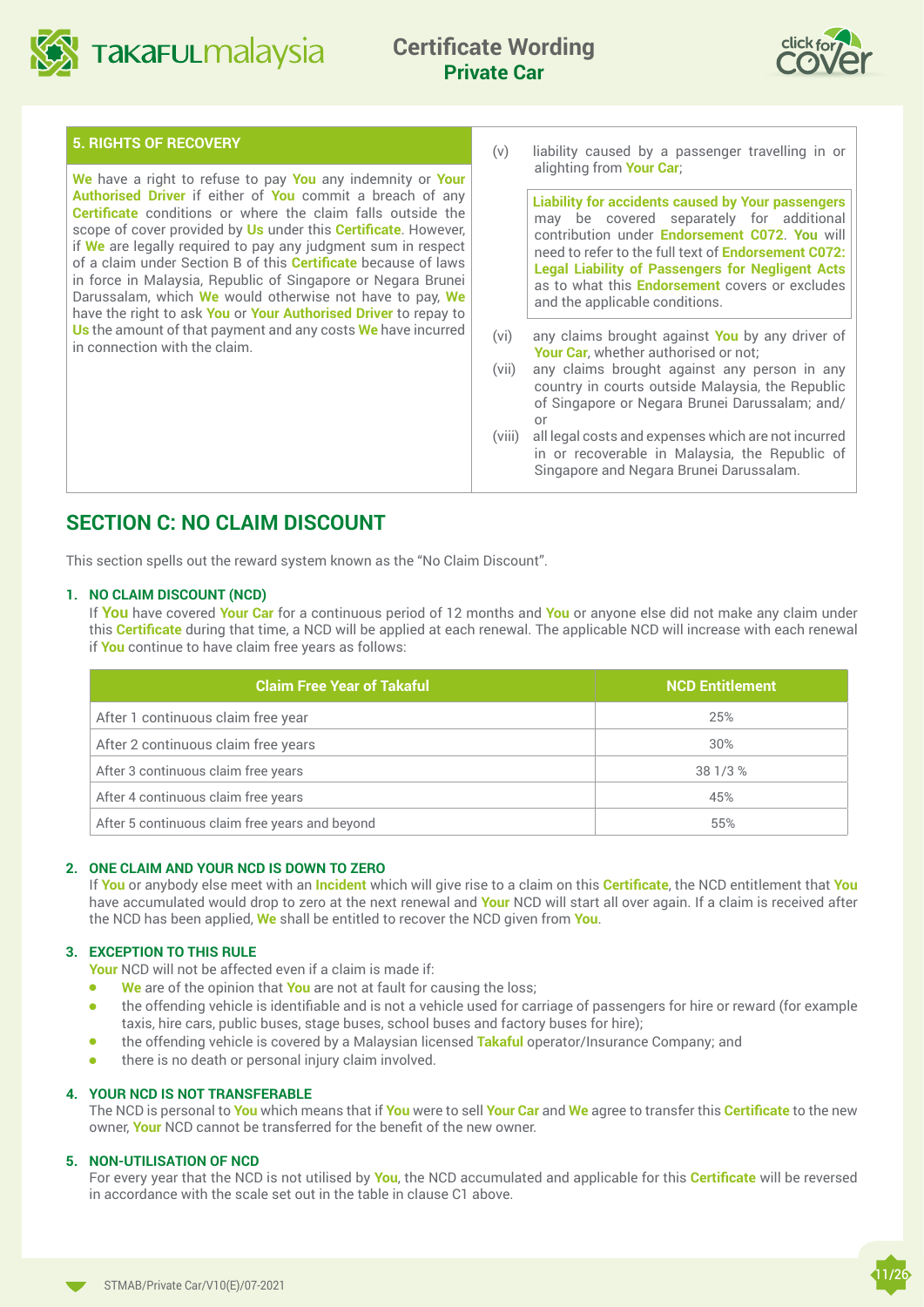<span id="page-10-0"></span>

# **Private Car**



#### **5. RIGHTS OF RECOVERY**

**We** have a right to refuse to pay **You** any indemnity or **Your Authorised Driver** if either of **You** commit a breach of any **Certificate** conditions or where the claim falls outside the scope of cover provided by **Us** under this **Certificate**. However, if **We** are legally required to pay any judgment sum in respect of a claim under Section B of this **Certificate** because of laws in force in Malaysia, Republic of Singapore or Negara Brunei Darussalam, which **We** would otherwise not have to pay, **We** have the right to ask **You** or **Your Authorised Driver** to repay to **Us** the amount of that payment and any costs **We** have incurred in connection with the claim.

(v) liability caused by a passenger travelling in or alighting from **Your Car**;

**Liability for accidents caused by Your passengers**  may be covered separately for additional contribution under **Endorsement C072**. **You** will need to refer to the full text of **Endorsement C072: Legal Liability of Passengers for Negligent Acts** as to what this **Endorsement** covers or excludes and the applicable conditions.

- (vi) any claims brought against **You** by any driver of **Your Car**, whether authorised or not;
- (vii) any claims brought against any person in any country in courts outside Malaysia, the Republic of Singapore or Negara Brunei Darussalam; and/ or
- (viii) all legal costs and expenses which are not incurred in or recoverable in Malaysia, the Republic of Singapore and Negara Brunei Darussalam.

## **SECTION C: NO CLAIM DISCOUNT**

This section spells out the reward system known as the "No Claim Discount".

#### **1. NO CLAIM DISCOUNT (NCD)**

If **You** have covered **Your Car** for a continuous period of 12 months and **You** or anyone else did not make any claim under this **Certificate** during that time, a NCD will be applied at each renewal. The applicable NCD will increase with each renewal if **You** continue to have claim free years as follows:

| <b>Claim Free Year of Takaful</b>              | <b>NCD Entitlement</b> |
|------------------------------------------------|------------------------|
| After 1 continuous claim free year             | 25%                    |
| After 2 continuous claim free years            | 30%                    |
| After 3 continuous claim free years            | 38 1/3 %               |
| After 4 continuous claim free years            | 45%                    |
| After 5 continuous claim free years and beyond | 55%                    |

#### **2. ONE CLAIM AND YOUR NCD IS DOWN TO ZERO**

If **You** or anybody else meet with an **Incident** which will give rise to a claim on this **Certificate**, the NCD entitlement that **You**  have accumulated would drop to zero at the next renewal and **Your** NCD will start all over again. If a claim is received after the NCD has been applied, **We** shall be entitled to recover the NCD given from **You**.

#### **3. EXCEPTION TO THIS RULE**

**Your** NCD will not be affected even if a claim is made if:

- **We** are of the opinion that **You** are not at fault for causing the loss;
- <sup>l</sup> the offending vehicle is identifiable and is not a vehicle used for carriage of passengers for hire or reward (for example taxis, hire cars, public buses, stage buses, school buses and factory buses for hire);
- **•** the offending vehicle is covered by a Malaysian licensed **Takaful** operator/Insurance Company; and
- $\bullet$  there is no death or personal injury claim involved.

#### **4. YOUR NCD IS NOT TRANSFERABLE**

The NCD is personal to **You** which means that if **You** were to sell **Your Car** and **We** agree to transfer this **Certificate** to the new owner, **Your** NCD cannot be transferred for the benefit of the new owner.

#### **5. NON-UTILISATION OF NCD**

For every year that the NCD is not utilised by **You**, the NCD accumulated and applicable for this **Certificate** will be reversed in accordance with the scale set out in the table in clause C1 above.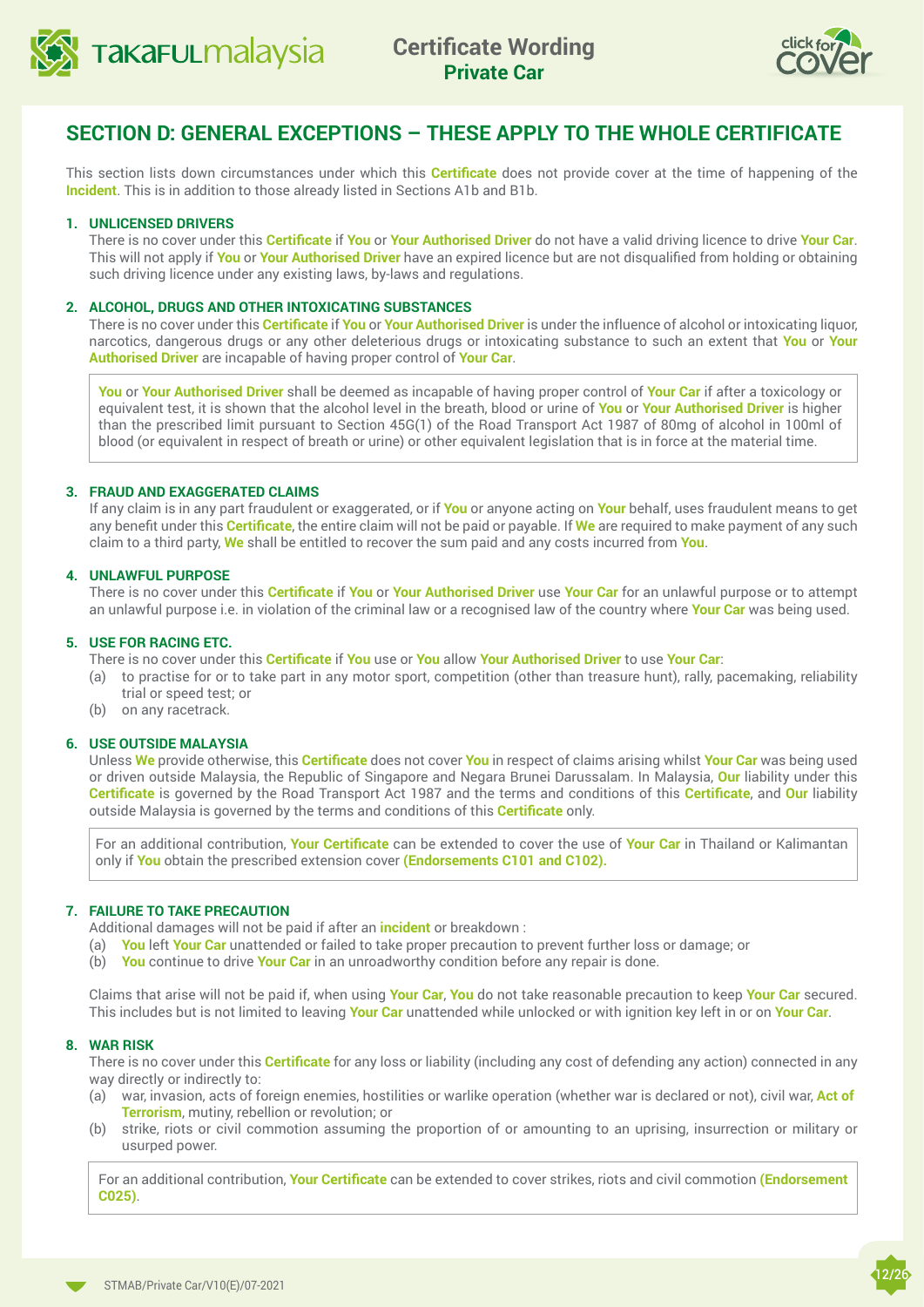<span id="page-11-0"></span>



## **SECTION D: GENERAL EXCEPTIONS – THESE APPLY TO THE WHOLE CERTIFICATE**

This section lists down circumstances under which this **Certificate** does not provide cover at the time of happening of the **Incident**. This is in addition to those already listed in Sections A1b and B1b.

#### **1. UNLICENSED DRIVERS**

There is no cover under this **Certificate** if **You** or **Your Authorised Driver** do not have a valid driving licence to drive **Your Car**. This will not apply if **You** or **Your Authorised Driver** have an expired licence but are not disqualified from holding or obtaining such driving licence under any existing laws, by-laws and regulations.

#### **2. ALCOHOL, DRUGS AND OTHER INTOXICATING SUBSTANCES**

There is no cover under this **Certificate** if **You** or **Your Authorised Driver** is under the influence of alcohol or intoxicating liquor, narcotics, dangerous drugs or any other deleterious drugs or intoxicating substance to such an extent that **You** or **Your Authorised Driver** are incapable of having proper control of **Your Car**.

**You** or **Your Authorised Driver** shall be deemed as incapable of having proper control of **Your Car** if after a toxicology or equivalent test, it is shown that the alcohol level in the breath, blood or urine of **You** or **Your Authorised Driver** is higher than the prescribed limit pursuant to Section 45G(1) of the Road Transport Act 1987 of 80mg of alcohol in 100ml of blood (or equivalent in respect of breath or urine) or other equivalent legislation that is in force at the material time.

#### **3. FRAUD AND EXAGGERATED CLAIMS**

If any claim is in any part fraudulent or exaggerated, or if **You** or anyone acting on **Your** behalf, uses fraudulent means to get any benefit under this **Certificate**, the entire claim will not be paid or payable. If **We** are required to make payment of any such claim to a third party, **We** shall be entitled to recover the sum paid and any costs incurred from **You**.

#### **4. UNLAWFUL PURPOSE**

There is no cover under this **Certificate** if **You** or **Your Authorised Driver** use **Your Car** for an unlawful purpose or to attempt an unlawful purpose i.e. in violation of the criminal law or a recognised law of the country where **Your Car** was being used.

#### **5. USE FOR RACING ETC.**

There is no cover under this **Certificate** if **You** use or **You** allow **Your Authorised Driver** to use **Your Car**:

- (a) to practise for or to take part in any motor sport, competition (other than treasure hunt), rally, pacemaking, reliability trial or speed test; or
- (b) on any racetrack.

#### **6. USE OUTSIDE MALAYSIA**

Unless **We** provide otherwise, this **Certificate** does not cover **You** in respect of claims arising whilst **Your Car** was being used or driven outside Malaysia, the Republic of Singapore and Negara Brunei Darussalam. In Malaysia, **Our** liability under this **Certificate** is governed by the Road Transport Act 1987 and the terms and conditions of this **Certificate**, and **Our** liability outside Malaysia is governed by the terms and conditions of this **Certificate** only.

For an additional contribution, **Your Certificate** can be extended to cover the use of **Your Car** in Thailand or Kalimantan only if **You** obtain the prescribed extension cover **(Endorsements C101 and C102).**

#### **7. FAILURE TO TAKE PRECAUTION**

Additional damages will not be paid if after an **incident** or breakdown :

- (a) **You** left **Your Car** unattended or failed to take proper precaution to prevent further loss or damage; or
- (b) **You** continue to drive **Your Car** in an unroadworthy condition before any repair is done.

Claims that arise will not be paid if, when using **Your Car**, **You** do not take reasonable precaution to keep **Your Car** secured. This includes but is not limited to leaving **Your Car** unattended while unlocked or with ignition key left in or on **Your Car**.

#### **8. WAR RISK**

There is no cover under this **Certificate** for any loss or liability (including any cost of defending any action) connected in any way directly or indirectly to:

- (a) war, invasion, acts of foreign enemies, hostilities or warlike operation (whether war is declared or not), civil war, **Act of Terrorism**, mutiny, rebellion or revolution; or
- (b) strike, riots or civil commotion assuming the proportion of or amounting to an uprising, insurrection or military or usurped power.

For an additional contribution, **Your Certificate** can be extended to cover strikes, riots and civil commotion **(Endorsement C025)**.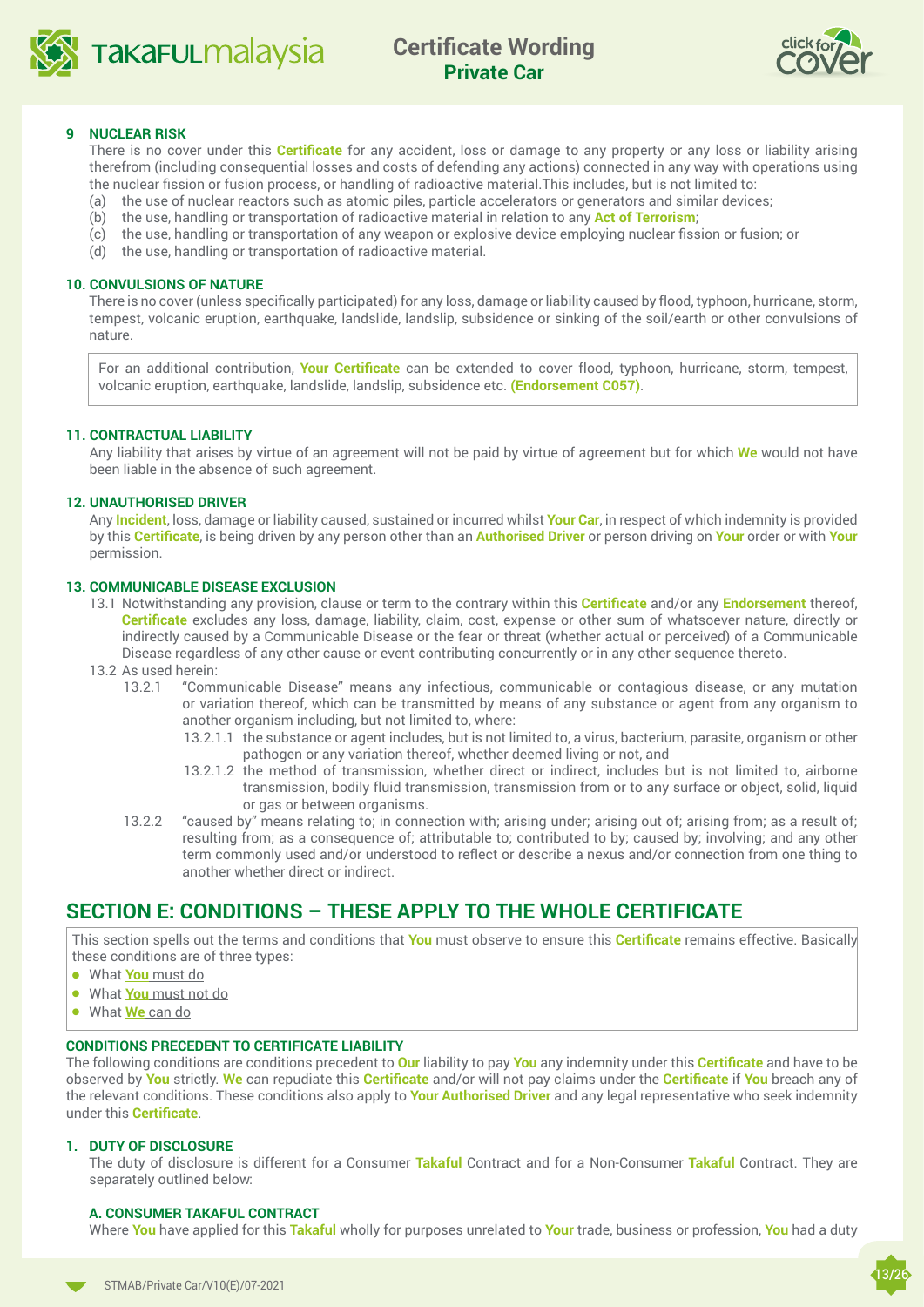<span id="page-12-0"></span>



#### **9 NUCLEAR RISK**

There is no cover under this **Certificate** for any accident, loss or damage to any property or any loss or liability arising therefrom (including consequential losses and costs of defending any actions) connected in any way with operations using the nuclear fission or fusion process, or handling of radioactive material.This includes, but is not limited to:

- (a) the use of nuclear reactors such as atomic piles, particle accelerators or generators and similar devices;
- (b) the use, handling or transportation of radioactive material in relation to any **Act of Terrorism**;
- (c) the use, handling or transportation of any weapon or explosive device employing nuclear fission or fusion; or
- (d) the use, handling or transportation of radioactive material.

#### **10. CONVULSIONS OF NATURE**

There is no cover (unless specifically participated) for any loss, damage or liability caused by flood, typhoon, hurricane, storm, tempest, volcanic eruption, earthquake, landslide, landslip, subsidence or sinking of the soil/earth or other convulsions of nature.

For an additional contribution, **Your Certificate** can be extended to cover flood, typhoon, hurricane, storm, tempest, volcanic eruption, earthquake, landslide, landslip, subsidence etc. **(Endorsement C057)**.

#### **11. CONTRACTUAL LIABILITY**

Any liability that arises by virtue of an agreement will not be paid by virtue of agreement but for which **We** would not have been liable in the absence of such agreement.

#### **12. UNAUTHORISED DRIVER**

Any **Incident**, loss, damage or liability caused, sustained or incurred whilst **Your Car**, in respect of which indemnity is provided by this **Certificate**, is being driven by any person other than an **Authorised Driver** or person driving on **Your** order or with **Your**  permission.

#### **13. COMMUNICABLE DISEASE EXCLUSION**

- 13.1 Notwithstanding any provision, clause or term to the contrary within this **Certificate** and/or any **Endorsement** thereof, **Certificate** excludes any loss, damage, liability, claim, cost, expense or other sum of whatsoever nature, directly or indirectly caused by a Communicable Disease or the fear or threat (whether actual or perceived) of a Communicable Disease regardless of any other cause or event contributing concurrently or in any other sequence thereto.
- 13.2 As used herein:
	- 13.2.1 "Communicable Disease" means any infectious, communicable or contagious disease, or any mutation or variation thereof, which can be transmitted by means of any substance or agent from any organism to another organism including, but not limited to, where:
		- 13.2.1.1 the substance or agent includes, but is not limited to, a virus, bacterium, parasite, organism or other pathogen or any variation thereof, whether deemed living or not, and
		- 13.2.1.2 the method of transmission, whether direct or indirect, includes but is not limited to, airborne transmission, bodily fluid transmission, transmission from or to any surface or object, solid, liquid or gas or between organisms.
	- 13.2.2 "caused by" means relating to; in connection with; arising under; arising out of; arising from; as a result of; resulting from; as a consequence of; attributable to; contributed to by; caused by; involving; and any other term commonly used and/or understood to reflect or describe a nexus and/or connection from one thing to another whether direct or indirect.

## **SECTION E: CONDITIONS – THESE APPLY TO THE WHOLE CERTIFICATE**

This section spells out the terms and conditions that **You** must observe to ensure this **Certificate** remains effective. Basically these conditions are of three types:

- <sup>l</sup> What **You** must do
- **.** What **You** must not do
- **.** What **We** can do

#### **CONDITIONS PRECEDENT TO CERTIFICATE LIABILITY**

The following conditions are conditions precedent to **Our** liability to pay **You** any indemnity under this **Certificate** and have to be observed by **You** strictly. **We** can repudiate this **Certificate** and/or will not pay claims under the **Certificate** if **You** breach any of the relevant conditions. These conditions also apply to **Your Authorised Driver** and any legal representative who seek indemnity under this **Certificate**.

#### **1. DUTY OF DISCLOSURE**

The duty of disclosure is different for a Consumer **Takaful** Contract and for a Non-Consumer **Takaful** Contract. They are separately outlined below:

#### **A. CONSUMER TAKAFUL CONTRACT**

Where **You** have applied for this **Takaful** wholly for purposes unrelated to **Your** trade, business or profession, **You** had a duty

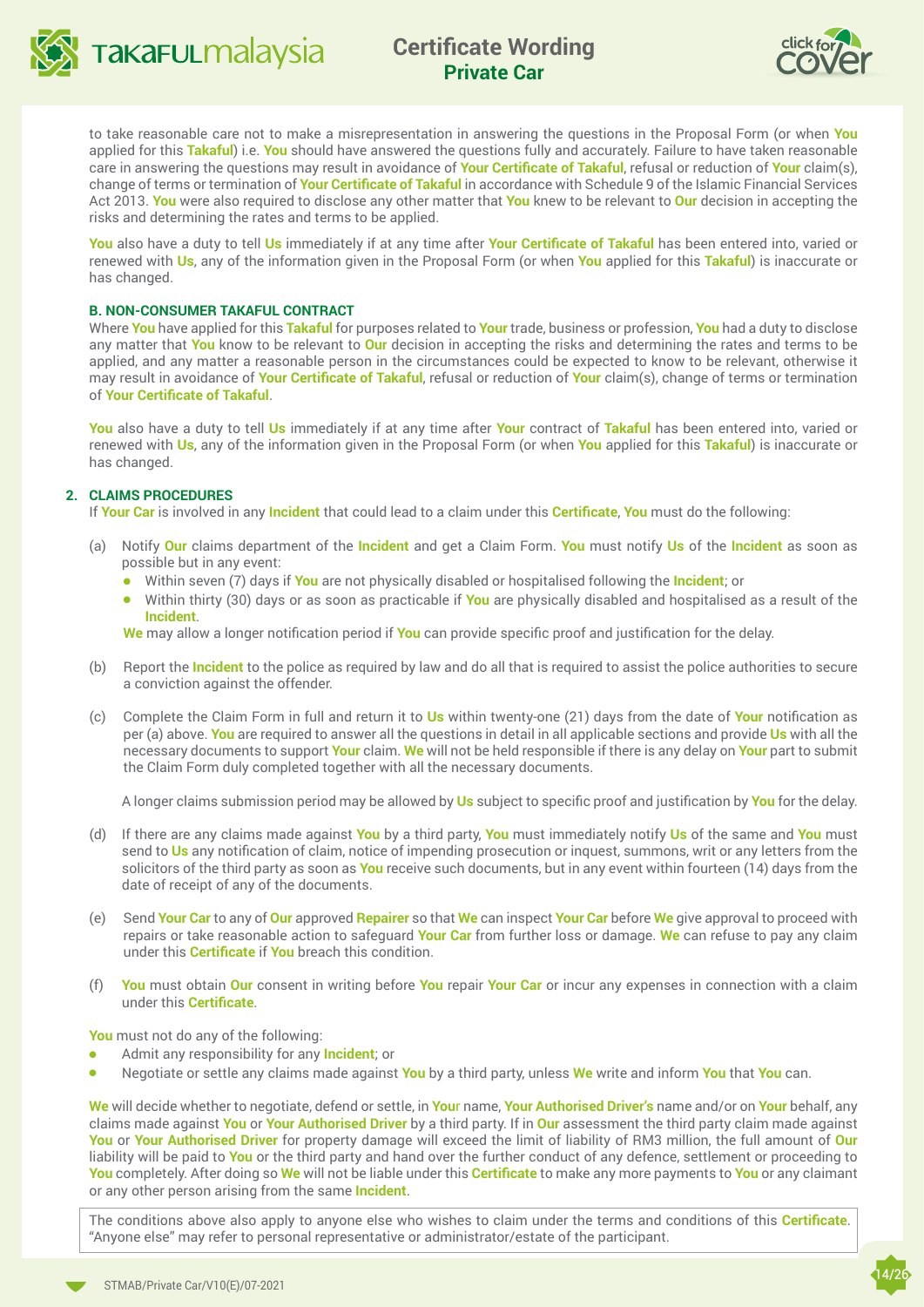<span id="page-13-0"></span>

**TAKAFULMAAYSIA** Certificate Wording **Private Car**



to take reasonable care not to make a misrepresentation in answering the questions in the Proposal Form (or when **You** applied for this **Takaful**) i.e. **You** should have answered the questions fully and accurately. Failure to have taken reasonable care in answering the questions may result in avoidance of **Your Certificate of Takaful**, refusal or reduction of **Your** claim(s), change of terms or termination of **Your Certificate of Takaful** in accordance with Schedule 9 of the Islamic Financial Services Act 2013. **You** were also required to disclose any other matter that **You** knew to be relevant to **Our** decision in accepting the risks and determining the rates and terms to be applied.

**You** also have a duty to tell **Us** immediately if at any time after **Your Certificate of Takaful** has been entered into, varied or renewed with **Us**, any of the information given in the Proposal Form (or when **You** applied for this **Takaful**) is inaccurate or has changed.

#### **B. NON-CONSUMER TAKAFUL CONTRACT**

Where **You** have applied for this **Takaful** for purposes related to **Your** trade, business or profession, **You** had a duty to disclose any matter that **You** know to be relevant to **Our** decision in accepting the risks and determining the rates and terms to be applied, and any matter a reasonable person in the circumstances could be expected to know to be relevant, otherwise it may result in avoidance of **Your Certificate of Takaful**, refusal or reduction of **Your** claim(s), change of terms or termination of **Your Certificate of Takaful**.

**You** also have a duty to tell **Us** immediately if at any time after **Your** contract of **Takaful** has been entered into, varied or renewed with **Us**, any of the information given in the Proposal Form (or when **You** applied for this **Takaful**) is inaccurate or has changed.

#### **2. CLAIMS PROCEDURES**

If **Your Car** is involved in any **Incident** that could lead to a claim under this **Certificate**, **You** must do the following:

- (a) Notify **Our** claims department of the **Incident** and get a Claim Form. **You** must notify **Us** of the **Incident** as soon as possible but in any event:
	- **•** Within seven (7) days if You are not physically disabled or hospitalised following the **Incident**; or
	- **.** Within thirty (30) days or as soon as practicable if **You** are physically disabled and hospitalised as a result of the **Incident**.

**We** may allow a longer notification period if **You** can provide specific proof and justification for the delay.

- (b) Report the **Incident** to the police as required by law and do all that is required to assist the police authorities to secure a conviction against the offender.
- (c) Complete the Claim Form in full and return it to **Us** within twenty-one (21) days from the date of **Your** notification as per (a) above. **You** are required to answer all the questions in detail in all applicable sections and provide **Us** with all the necessary documents to support **Your** claim. **We** will not be held responsible if there is any delay on **Your** part to submit the Claim Form duly completed together with all the necessary documents.

A longer claims submission period may be allowed by **Us** subject to specific proof and justification by **You** for the delay.

- (d) If there are any claims made against **You** by a third party, **You** must immediately notify **Us** of the same and **You** must send to **Us** any notification of claim, notice of impending prosecution or inquest, summons, writ or any letters from the solicitors of the third party as soon as **You** receive such documents, but in any event within fourteen (14) days from the date of receipt of any of the documents.
- (e) Send **Your Car** to any of **Our** approved **Repairer** so that **We** can inspect **Your Car** before **We** give approval to proceed with repairs or take reasonable action to safeguard **Your Car** from further loss or damage. **We** can refuse to pay any claim under this **Certificate** if **You** breach this condition.
- (f) **You** must obtain **Our** consent in writing before **You** repair **Your Car** or incur any expenses in connection with a claim under this **Certificate**.

**You** must not do any of the following:

- <sup>l</sup> Admit any responsibility for any **Incident**; or
- <sup>l</sup> Negotiate or settle any claims made against **You** by a third party, unless **We** write and inform **You** that **You** can.

**We** will decide whether to negotiate, defend or settle, in **You**r name, **Your Authorised Driver's** name and/or on **Your** behalf, any claims made against **You** or **Your Authorised Driver** by a third party. If in **Our** assessment the third party claim made against **You** or **Your Authorised Driver** for property damage will exceed the limit of liability of RM3 million, the full amount of **Our**  liability will be paid to **You** or the third party and hand over the further conduct of any defence, settlement or proceeding to **You** completely. After doing so **We** will not be liable under this **Certificate** to make any more payments to **You** or any claimant or any other person arising from the same **Incident**.

The conditions above also apply to anyone else who wishes to claim under the terms and conditions of this **Certificate**. "Anyone else" may refer to personal representative or administrator/estate of the participant.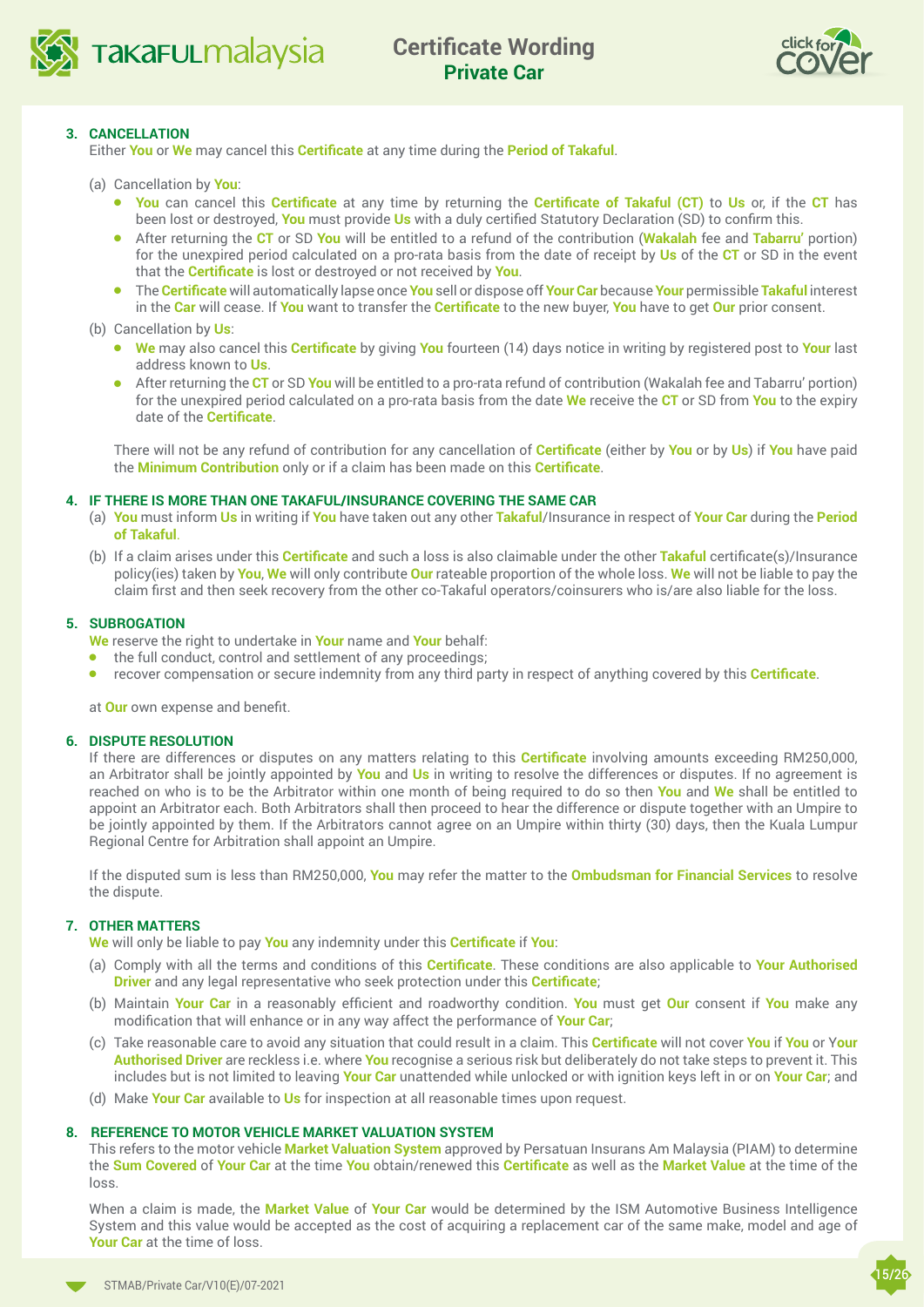



#### **3. CANCELLATION**

Either **You** or **We** may cancel this **Certificate** at any time during the **Period of Takaful**.

- (a) Cancellation by **You**:
	- <sup>l</sup> **You** can cancel this **Certificate** at any time by returning the **Certificate of Takaful (CT)** to **Us** or, if the **CT** has been lost or destroyed, **You** must provide **Us** with a duly certified Statutory Declaration (SD) to confirm this.
	- <sup>l</sup> After returning the **CT** or SD **You** will be entitled to a refund of the contribution (**Wakalah** fee and **Tabarru'** portion) for the unexpired period calculated on a pro-rata basis from the date of receipt by **Us** of the **CT** or SD in the event that the **Certificate** is lost or destroyed or not received by **You**.
	- <sup>l</sup> The **Certificate** will automatically lapse once **You** sell or dispose off **Your Car** because **Your** permissible **Takaful** interest in the **Car** will cease. If **You** want to transfer the **Certificate** to the new buyer, **You** have to get **Our** prior consent.

(b) Cancellation by **Us**:

- <sup>l</sup> **We** may also cancel this **Certificate** by giving **You** fourteen (14) days notice in writing by registered post to **Your** last address known to **Us**.
- **•** After returning the CT or SD You will be entitled to a pro-rata refund of contribution (Wakalah fee and Tabarru' portion) for the unexpired period calculated on a pro-rata basis from the date **We** receive the **CT** or SD from **You** to the expiry date of the **Certificate**.

 There will not be any refund of contribution for any cancellation of **Certificate** (either by **You** or by **Us**) if **You** have paid the **Minimum Contribution** only or if a claim has been made on this **Certificate**.

#### **4. IF THERE IS MORE THAN ONE TAKAFUL/INSURANCE COVERING THE SAME CAR**

- (a) **You** must inform **Us** in writing if **You** have taken out any other **Takaful**/Insurance in respect of **Your Car** during the **Period of Takaful**.
- (b) If a claim arises under this **Certificate** and such a loss is also claimable under the other **Takaful** certificate(s)/Insurance policy(ies) taken by **You**, **We** will only contribute **Our** rateable proportion of the whole loss. **We** will not be liable to pay the claim first and then seek recovery from the other co-Takaful operators/coinsurers who is/are also liable for the loss.

#### **5. SUBROGATION**

**We** reserve the right to undertake in **Your** name and **Your** behalf:

- $\bullet$  the full conduct, control and settlement of any proceedings;
- **e** recover compensation or secure indemnity from any third party in respect of anything covered by this **Certificate**.

at **Our** own expense and benefit.

#### **6. DISPUTE RESOLUTION**

If there are differences or disputes on any matters relating to this **Certificate** involving amounts exceeding RM250,000, an Arbitrator shall be jointly appointed by **You** and **Us** in writing to resolve the differences or disputes. If no agreement is reached on who is to be the Arbitrator within one month of being required to do so then **You** and **We** shall be entitled to appoint an Arbitrator each. Both Arbitrators shall then proceed to hear the difference or dispute together with an Umpire to be jointly appointed by them. If the Arbitrators cannot agree on an Umpire within thirty (30) days, then the Kuala Lumpur Regional Centre for Arbitration shall appoint an Umpire.

If the disputed sum is less than RM250,000, **You** may refer the matter to the **Ombudsman for Financial Services** to resolve the dispute.

#### **7. OTHER MATTERS**

**We** will only be liable to pay **You** any indemnity under this **Certificate** if **You**:

- (a) Comply with all the terms and conditions of this **Certificate**. These conditions are also applicable to **Your Authorised Driver** and any legal representative who seek protection under this **Certificate**;
- (b) Maintain **Your Car** in a reasonably efficient and roadworthy condition. **You** must get **Our** consent if **You** make any modification that will enhance or in any way affect the performance of **Your Car**;
- (c) Take reasonable care to avoid any situation that could result in a claim. This **Certificate** will not cover **You** if **You** or Y**our Authorised Driver** are reckless i.e. where **You** recognise a serious risk but deliberately do not take steps to prevent it. This includes but is not limited to leaving **Your Car** unattended while unlocked or with ignition keys left in or on **Your Car**; and
- (d) Make **Your Car** available to **Us** for inspection at all reasonable times upon request.

#### **8. REFERENCE TO MOTOR VEHICLE MARKET VALUATION SYSTEM**

This refers to the motor vehicle **Market Valuation System** approved by Persatuan Insurans Am Malaysia (PIAM) to determine the **Sum Covered** of **Your Car** at the time **You** obtain/renewed this **Certificate** as well as the **Market Value** at the time of the loss.

When a claim is made, the **Market Value** of **Your Car** would be determined by the ISM Automotive Business Intelligence System and this value would be accepted as the cost of acquiring a replacement car of the same make, model and age of **Your Car** at the time of loss.

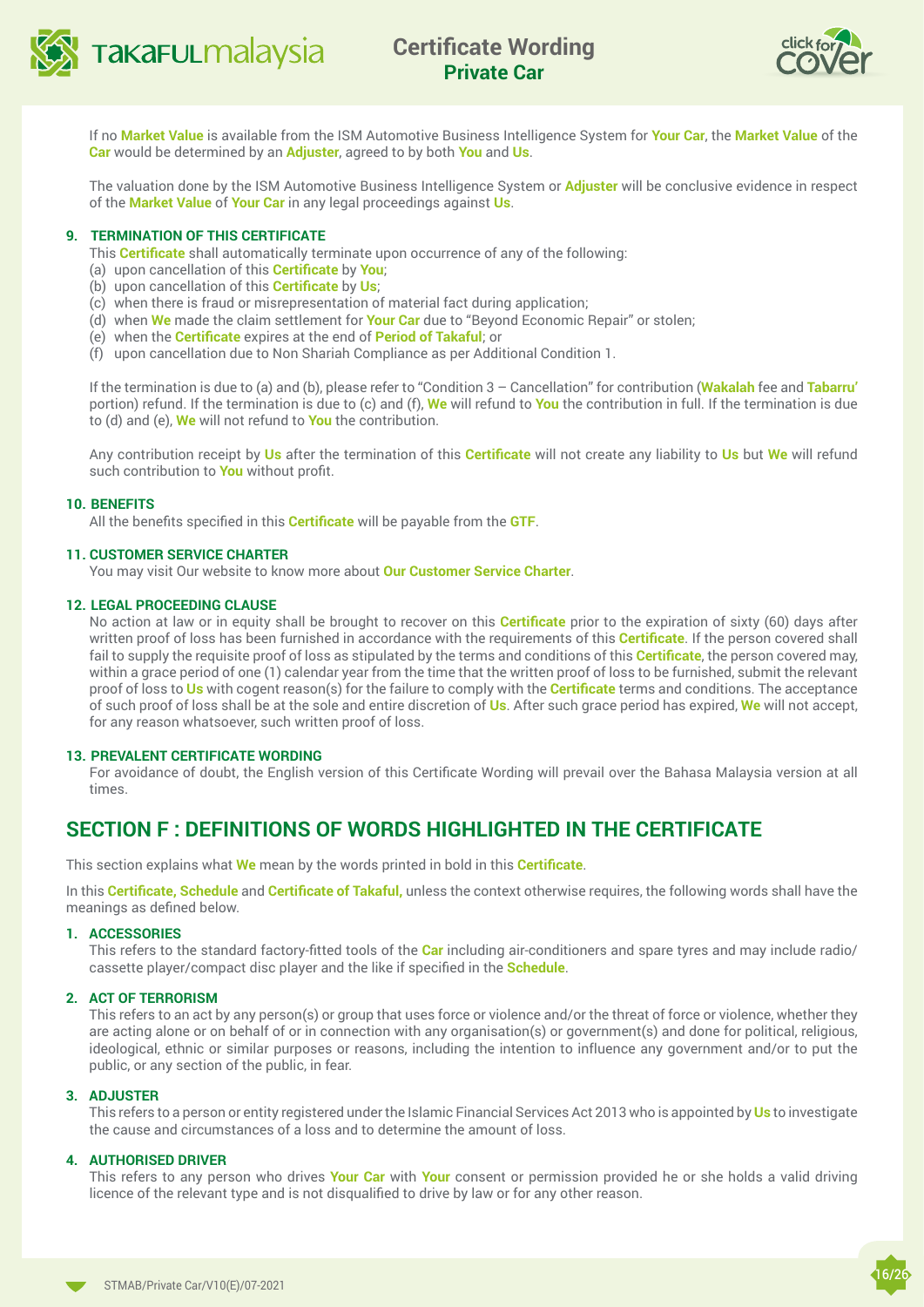<span id="page-15-0"></span>



If no **Market Value** is available from the ISM Automotive Business Intelligence System for **Your Car**, the **Market Value** of the **Car** would be determined by an **Adjuster**, agreed to by both **You** and **Us**.

The valuation done by the ISM Automotive Business Intelligence System or **Adjuster** will be conclusive evidence in respect of the **Market Value** of **Your Car** in any legal proceedings against **Us**.

#### **9. TERMINATION OF THIS CERTIFICATE**

This **Certificate** shall automatically terminate upon occurrence of any of the following:

- (a) upon cancellation of this **Certificate** by **You**;
- (b) upon cancellation of this **Certificate** by **Us**;
- (c) when there is fraud or misrepresentation of material fact during application;
- (d) when **We** made the claim settlement for **Your Car** due to "Beyond Economic Repair" or stolen;
- (e) when the **Certificate** expires at the end of **Period of Takaful**; or
- (f) upon cancellation due to Non Shariah Compliance as per Additional Condition 1.

If the termination is due to (a) and (b), please refer to "Condition 3 – Cancellation" for contribution (**Wakalah** fee and **Tabarru'**  portion) refund. If the termination is due to (c) and (f), **We** will refund to **You** the contribution in full. If the termination is due to (d) and (e), **We** will not refund to **You** the contribution.

Any contribution receipt by **Us** after the termination of this **Certificate** will not create any liability to **Us** but **We** will refund such contribution to **You** without profit.

#### **10. BENEFITS**

All the benefits specified in this **Certificate** will be payable from the **GTF**.

#### **11. CUSTOMER SERVICE CHARTER**

You may visit Our website to know more about **[Our Customer Service Charter](https://www.takaful-malaysia.com.my/footer/Pages/regulatorycompliance.aspx)**.

#### **12. LEGAL PROCEEDING CLAUSE**

No action at law or in equity shall be brought to recover on this **Certificate** prior to the expiration of sixty (60) days after written proof of loss has been furnished in accordance with the requirements of this **Certificate**. If the person covered shall fail to supply the requisite proof of loss as stipulated by the terms and conditions of this **Certificate**, the person covered may, within a grace period of one (1) calendar year from the time that the written proof of loss to be furnished, submit the relevant proof of loss to **Us** with cogent reason(s) for the failure to comply with the **Certificate** terms and conditions. The acceptance of such proof of loss shall be at the sole and entire discretion of **Us**. After such grace period has expired, **We** will not accept, for any reason whatsoever, such written proof of loss.

#### **13. PREVALENT CERTIFICATE WORDING**

For avoidance of doubt, the English version of this Certificate Wording will prevail over the Bahasa Malaysia version at all times.

## **SECTION F : DEFINITIONS OF WORDS HIGHLIGHTED IN THE CERTIFICATE**

This section explains what **We** mean by the words printed in bold in this **Certificate**.

In this **Certificate, Schedule** and **Certificate of Takaful,** unless the context otherwise requires, the following words shall have the meanings as defined below.

#### **1. ACCESSORIES**

This refers to the standard factory-fitted tools of the **Car** including air-conditioners and spare tyres and may include radio/ cassette player/compact disc player and the like if specified in the **Schedule**.

#### **2. ACT OF TERRORISM**

This refers to an act by any person(s) or group that uses force or violence and/or the threat of force or violence, whether they are acting alone or on behalf of or in connection with any organisation(s) or government(s) and done for political, religious, ideological, ethnic or similar purposes or reasons, including the intention to influence any government and/or to put the public, or any section of the public, in fear.

#### **3. ADJUSTER**

This refers to a person or entity registered under the Islamic Financial Services Act 2013 who is appointed by **Us** to investigate the cause and circumstances of a loss and to determine the amount of loss.

#### **4. AUTHORISED DRIVER**

This refers to any person who drives **Your Car** with **Your** consent or permission provided he or she holds a valid driving licence of the relevant type and is not disqualified to drive by law or for any other reason.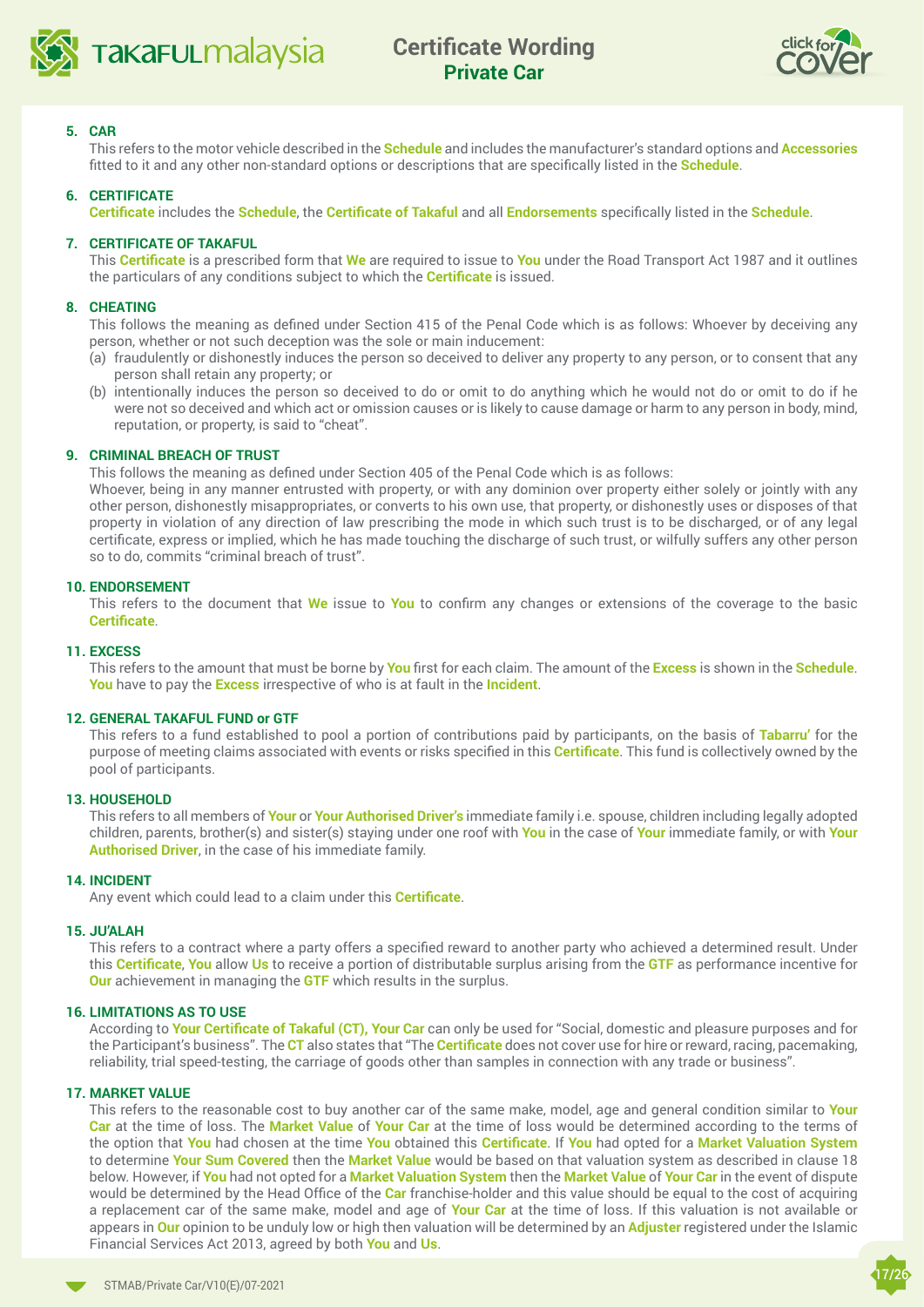<span id="page-16-0"></span>



#### **5. CAR**

This refers to the motor vehicle described in the **Schedule** and includes the manufacturer's standard options and **Accessories** fitted to it and any other non-standard options or descriptions that are specifically listed in the **Schedule**.

#### **6. CERTIFICATE**

**Certificate** includes the **Schedule**, the **Certificate of Takaful** and all **Endorsements** specifically listed in the **Schedule**.

#### **7. CERTIFICATE OF TAKAFUL**

This **Certificate** is a prescribed form that **We** are required to issue to **You** under the Road Transport Act 1987 and it outlines the particulars of any conditions subject to which the **Certificate** is issued.

#### **8. CHEATING**

This follows the meaning as defined under Section 415 of the Penal Code which is as follows: Whoever by deceiving any person, whether or not such deception was the sole or main inducement:

- (a) fraudulently or dishonestly induces the person so deceived to deliver any property to any person, or to consent that any person shall retain any property; or
- (b) intentionally induces the person so deceived to do or omit to do anything which he would not do or omit to do if he were not so deceived and which act or omission causes or is likely to cause damage or harm to any person in body, mind, reputation, or property, is said to "cheat".

#### **9. CRIMINAL BREACH OF TRUST**

This follows the meaning as defined under Section 405 of the Penal Code which is as follows:

Whoever, being in any manner entrusted with property, or with any dominion over property either solely or jointly with any other person, dishonestly misappropriates, or converts to his own use, that property, or dishonestly uses or disposes of that property in violation of any direction of law prescribing the mode in which such trust is to be discharged, or of any legal certificate, express or implied, which he has made touching the discharge of such trust, or wilfully suffers any other person so to do, commits "criminal breach of trust".

#### **10. ENDORSEMENT**

This refers to the document that **We** issue to **You** to confirm any changes or extensions of the coverage to the basic **Certificate**.

#### **11. EXCESS**

This refers to the amount that must be borne by **You** first for each claim. The amount of the **Excess** is shown in the **Schedule**. **You** have to pay the **Excess** irrespective of who is at fault in the **Incident**.

#### **12. GENERAL TAKAFUL FUND or GTF**

This refers to a fund established to pool a portion of contributions paid by participants, on the basis of **Tabarru'** for the purpose of meeting claims associated with events or risks specified in this **Certificate**. This fund is collectively owned by the pool of participants.

#### **13. HOUSEHOLD**

This refers to all members of **Your** or **Your Authorised Driver's** immediate family i.e. spouse, children including legally adopted children, parents, brother(s) and sister(s) staying under one roof with **You** in the case of **Your** immediate family, or with **Your Authorised Driver**, in the case of his immediate family.

#### **14. INCIDENT**

Any event which could lead to a claim under this **Certificate**.

#### **15. JU'ALAH**

This refers to a contract where a party offers a specified reward to another party who achieved a determined result. Under this **Certificate**, **You** allow **Us** to receive a portion of distributable surplus arising from the **GTF** as performance incentive for **Our** achievement in managing the **GTF** which results in the surplus.

#### **16. LIMITATIONS AS TO USE**

According to **Your Certificate of Takaful (CT), Your Car** can only be used for "Social, domestic and pleasure purposes and for the Participant's business". The **CT** also states that "The **Certificate** does not cover use for hire or reward, racing, pacemaking, reliability, trial speed-testing, the carriage of goods other than samples in connection with any trade or business".

#### **17. MARKET VALUE**

This refers to the reasonable cost to buy another car of the same make, model, age and general condition similar to **Your Car** at the time of loss. The **Market Value** of **Your Car** at the time of loss would be determined according to the terms of the option that **You** had chosen at the time **You** obtained this **Certificate**. If **You** had opted for a **Market Valuation System** to determine **Your Sum Covered** then the **Market Value** would be based on that valuation system as described in clause 18 below. However, if **You** had not opted for a **Market Valuation System** then the **Market Value** of **Your Car** in the event of dispute would be determined by the Head Office of the **Car** franchise-holder and this value should be equal to the cost of acquiring a replacement car of the same make, model and age of **Your Car** at the time of loss. If this valuation is not available or appears in **Our** opinion to be unduly low or high then valuation will be determined by an **Adjuster** registered under the Islamic Financial Services Act 2013, agreed by both **You** and **Us**.

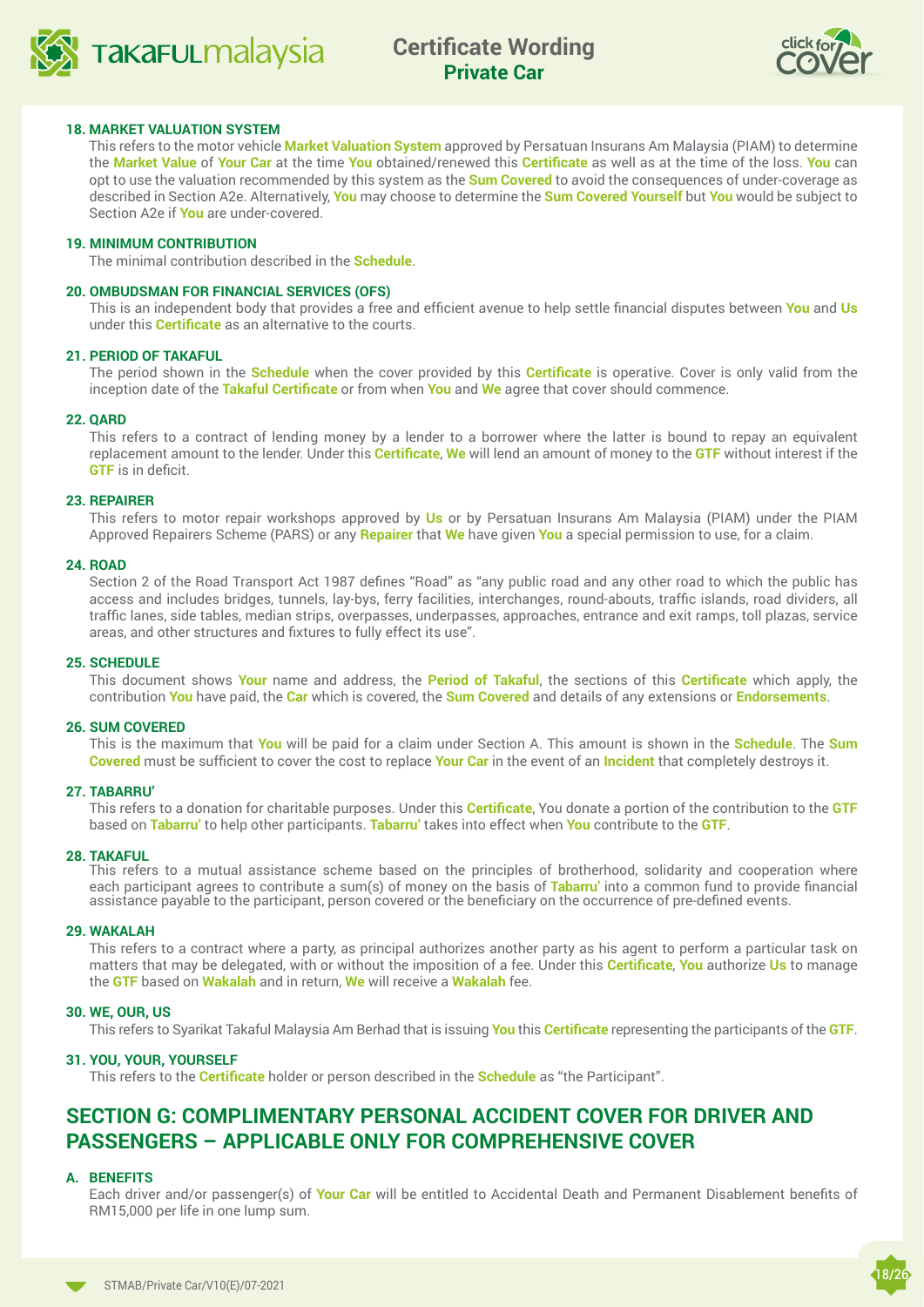



#### **18. MARKET VALUATION SYSTEM**

This refers to the motor vehicle **Market Valuation System** approved by Persatuan Insurans Am Malaysia (PIAM) to determine the **Market Value** of **Your Car** at the time **You** obtained/renewed this **Certificate** as well as at the time of the loss. **You** can opt to use the valuation recommended by this system as the **Sum Covered** to avoid the consequences of under-coverage as described in Section A2e. Alternatively, **You** may choose to determine the **Sum Covered Yourself** but **You** would be subject to Section A2e if **You** are under-covered.

#### **19. MINIMUM CONTRIBUTION**

The minimal contribution described in the **Schedule**.

#### **20. OMBUDSMAN FOR FINANCIAL SERVICES (OFS)**

This is an independent body that provides a free and efficient avenue to help settle financial disputes between **You** and **Us**  under this **Certificate** as an alternative to the courts.

#### **21. PERIOD OF TAKAFUL**

The period shown in the **Schedule** when the cover provided by this **Certificate** is operative. Cover is only valid from the inception date of the **Takaful Certificate** or from when **You** and **We** agree that cover should commence.

#### **22. QARD**

This refers to a contract of lending money by a lender to a borrower where the latter is bound to repay an equivalent replacement amount to the lender. Under this **Certificate**, **We** will lend an amount of money to the **GTF** without interest if the **GTF** is in deficit.

#### **23. REPAIRER**

This refers to motor repair workshops approved by **Us** or by Persatuan Insurans Am Malaysia (PIAM) under the PIAM Approved Repairers Scheme (PARS) or any **Repairer** that **We** have given **You** a special permission to use, for a claim.

#### **24. ROAD**

Section 2 of the Road Transport Act 1987 defines "Road" as "any public road and any other road to which the public has access and includes bridges, tunnels, lay-bys, ferry facilities, interchanges, round-abouts, traffic islands, road dividers, all traffic lanes, side tables, median strips, overpasses, underpasses, approaches, entrance and exit ramps, toll plazas, service areas, and other structures and fixtures to fully effect its use".

#### **25. SCHEDULE**

This document shows **Your** name and address, the **Period of Takaful**, the sections of this **Certificate** which apply, the contribution **You** have paid, the **Car** which is covered, the **Sum Covered** and details of any extensions or **Endorsements**.

#### **26. SUM COVERED**

This is the maximum that **You** will be paid for a claim under Section A. This amount is shown in the **Schedule**. The **Sum Covered** must be sufficient to cover the cost to replace **Your Car** in the event of an **Incident** that completely destroys it.

#### **27. TABARRU'**

This refers to a donation for charitable purposes. Under this **Certificate**, You donate a portion of the contribution to the **GTF**  based on **Tabarru'** to help other participants. **Tabarru'** takes into effect when **You** contribute to the **GTF**.

#### **28. TAKAFUL**

This refers to a mutual assistance scheme based on the principles of brotherhood, solidarity and cooperation where each participant agrees to contribute a sum(s) of money on the basis of **Tabarru'** into a common fund to provide financial assistance payable to the participant, person covered or the beneficiary on the occurrence of pre-defined events.

#### **29. WAKALAH**

This refers to a contract where a party, as principal authorizes another party as his agent to perform a particular task on matters that may be delegated, with or without the imposition of a fee. Under this **Certificate**, **You** authorize **Us** to manage the **GTF** based on **Wakalah** and in return, **We** will receive a **Wakalah** fee.

#### **30. WE, OUR, US**

This refers to Syarikat Takaful Malaysia Am Berhad that is issuing **You** this **Certificate** representing the participants of the **GTF**.

#### **31. YOU, YOUR, YOURSELF**

This refers to the **Certificate** holder or person described in the **Schedule** as "the Participant".

## **SECTION G: COMPLIMENTARY PERSONAL ACCIDENT COVER FOR DRIVER AND PASSENGERS – APPLICABLE ONLY FOR COMPREHENSIVE COVER**

#### **A. BENEFITS**

Each driver and/or passenger(s) of **Your Car** will be entitled to Accidental Death and Permanent Disablement benefits of RM15,000 per life in one lump sum.

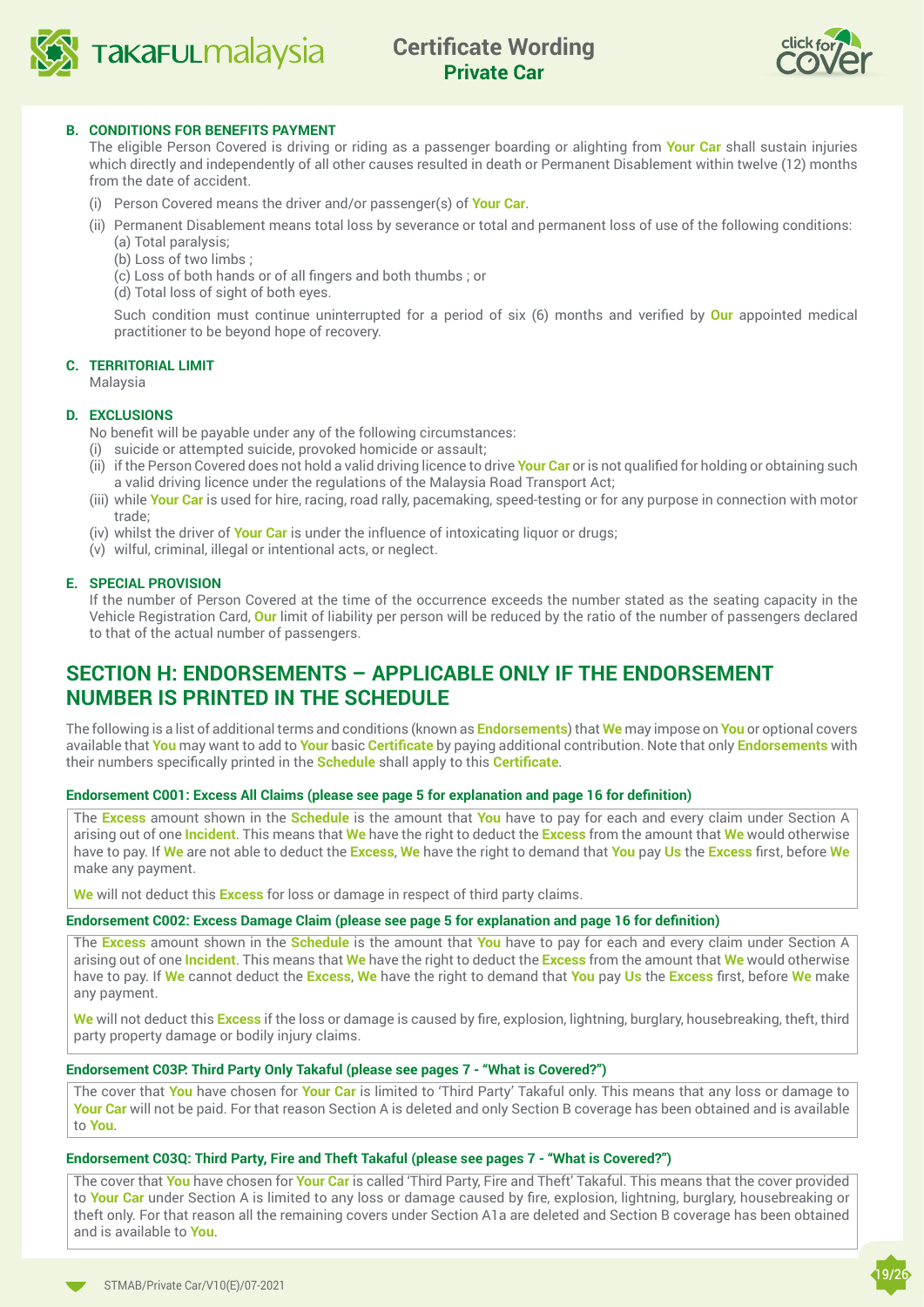



#### **B. CONDITIONS FOR BENEFITS PAYMENT**

The eligible Person Covered is driving or riding as a passenger boarding or alighting from **Your Car** shall sustain injuries which directly and independently of all other causes resulted in death or Permanent Disablement within twelve (12) months from the date of accident.

- (i) Person Covered means the driver and/or passenger(s) of **Your Car**.
- (ii) Permanent Disablement means total loss by severance or total and permanent loss of use of the following conditions:
	- (a) Total paralysis;
	- (b) Loss of two limbs ;
	- (c) Loss of both hands or of all fingers and both thumbs ; or
	- (d) Total loss of sight of both eyes.

Such condition must continue uninterrupted for a period of six (6) months and verified by **Our** appointed medical practitioner to be beyond hope of recovery.

#### **C. TERRITORIAL LIMIT**

Malaysia

#### **D. EXCLUSIONS**

- No benefit will be payable under any of the following circumstances:
- (i) suicide or attempted suicide, provoked homicide or assault;
- (ii) if the Person Covered does not hold a valid driving licence to drive **Your Car** or is not qualified for holding or obtaining such a valid driving licence under the regulations of the Malaysia Road Transport Act;
- (iii) while **Your Car** is used for hire, racing, road rally, pacemaking, speed-testing or for any purpose in connection with motor trade;
- (iv) whilst the driver of **Your Car** is under the influence of intoxicating liquor or drugs;
- (v) wilful, criminal, illegal or intentional acts, or neglect.

#### **E. SPECIAL PROVISION**

If the number of Person Covered at the time of the occurrence exceeds the number stated as the seating capacity in the Vehicle Registration Card, **Our** limit of liability per person will be reduced by the ratio of the number of passengers declared to that of the actual number of passengers.

## **SECTION H: ENDORSEMENTS – APPLICABLE ONLY IF THE ENDORSEMENT NUMBER IS PRINTED IN THE SCHEDULE**

The following is a list of additional terms and conditions (known as **Endorsements**) that **We** may impose on **You** or optional covers available that **You** may want to add to **Your** basic **Certificate** by paying additional contribution. Note that only **Endorsements** with their numbers specifically printed in the **Schedule** shall apply to this **Certificate**.

#### **Endorsement C001: Excess All Claims (please see page 5 for explanation and page 16 for definition)**

The **Excess** amount shown in the **Schedule** is the amount that **You** have to pay for each and every claim under Section A arising out of one **Incident**. This means that **We** have the right to deduct the **Excess** from the amount that **We** would otherwise have to pay. If **We** are not able to deduct the **Excess**, **We** have the right to demand that **You** pay **Us** the **Excess** first, before **We** make any payment.

**We** will not deduct this **Excess** for loss or damage in respect of third party claims.

#### **Endorsement C002: Excess Damage Claim (please see page 5 for explanation and page 16 for definition)**

The **Excess** amount shown in the **Schedule** is the amount that **You** have to pay for each and every claim under Section A arising out of one **Incident**. This means that **We** have the right to deduct the **Excess** from the amount that **We** would otherwise have to pay. If **We** cannot deduct the **Excess**, **We** have the right to demand that **You** pay **Us** the **Excess** first, before **We** make any payment.

**We** will not deduct this **Excess** if the loss or damage is caused by fire, explosion, lightning, burglary, housebreaking, theft, third party property damage or bodily injury claims.

#### **Endorsement C03P: Third Party Only Takaful (please see pages 7 - "What is Covered?")**

The cover that **You** have chosen for **Your Car** is limited to 'Third Party' Takaful only. This means that any loss or damage to **Your Car** will not be paid. For that reason Section A is deleted and only Section B coverage has been obtained and is available to **You**.

#### **Endorsement C03Q: Third Party, Fire and Theft Takaful (please see pages 7 - "What is Covered?")**

The cover that **You** have chosen for **Your Car** is called 'Third Party, Fire and Theft' Takaful. This means that the cover provided to **Your Car** under Section A is limited to any loss or damage caused by fire, explosion, lightning, burglary, housebreaking or theft only. For that reason all the remaining covers under Section A1a are deleted and Section B coverage has been obtained and is available to **You**.

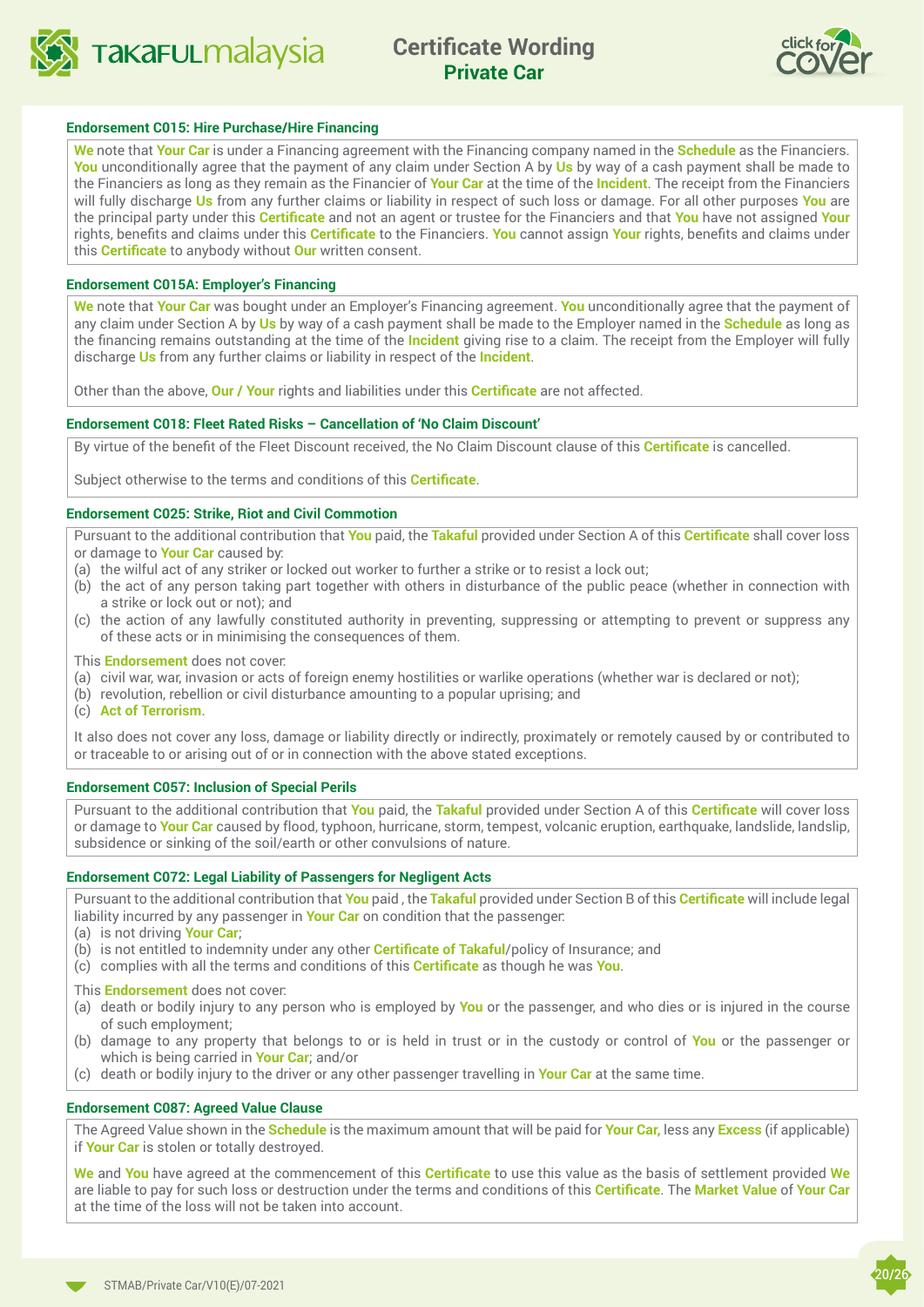



#### **Endorsement C015: Hire Purchase/Hire Financing**

**We** note that **Your Car** is under a Financing agreement with the Financing company named in the **Schedule** as the Financiers. **You** unconditionally agree that the payment of any claim under Section A by **Us** by way of a cash payment shall be made to the Financiers as long as they remain as the Financier of **Your Car** at the time of the **Incident**. The receipt from the Financiers will fully discharge **Us** from any further claims or liability in respect of such loss or damage. For all other purposes **You** are the principal party under this **Certificate** and not an agent or trustee for the Financiers and that **You** have not assigned **Your** rights, benefits and claims under this **Certificate** to the Financiers. **You** cannot assign **Your** rights, benefits and claims under this **Certificate** to anybody without **Our** written consent.

#### **Endorsement C015A: Employer's Financing**

**We** note that **Your Car** was bought under an Employer's Financing agreement. **You** unconditionally agree that the payment of any claim under Section A by **Us** by way of a cash payment shall be made to the Employer named in the **Schedule** as long as the financing remains outstanding at the time of the **Incident** giving rise to a claim. The receipt from the Employer will fully discharge **Us** from any further claims or liability in respect of the **Incident**.

Other than the above, **Our / Your** rights and liabilities under this **Certificate** are not affected.

#### **Endorsement C018: Fleet Rated Risks – Cancellation of 'No Claim Discount'**

By virtue of the benefit of the Fleet Discount received, the No Claim Discount clause of this **Certificate** is cancelled.

Subject otherwise to the terms and conditions of this **Certificate**.

#### **Endorsement C025: Strike, Riot and Civil Commotion**

Pursuant to the additional contribution that **You** paid, the **Takaful** provided under Section A of this **Certificate** shall cover loss or damage to **Your Car** caused by:

- (a) the wilful act of any striker or locked out worker to further a strike or to resist a lock out;
- (b) the act of any person taking part together with others in disturbance of the public peace (whether in connection with a strike or lock out or not); and
- (c) the action of any lawfully constituted authority in preventing, suppressing or attempting to prevent or suppress any of these acts or in minimising the consequences of them.

This **Endorsement** does not cover:

- (a) civil war, war, invasion or acts of foreign enemy hostilities or warlike operations (whether war is declared or not);
- (b) revolution, rebellion or civil disturbance amounting to a popular uprising; and
- (c) **Act of Terrorism**.

It also does not cover any loss, damage or liability directly or indirectly, proximately or remotely caused by or contributed to or traceable to or arising out of or in connection with the above stated exceptions.

#### **Endorsement C057: Inclusion of Special Perils**

Pursuant to the additional contribution that **You** paid, the **Takaful** provided under Section A of this **Certificate** will cover loss or damage to **Your Car** caused by flood, typhoon, hurricane, storm, tempest, volcanic eruption, earthquake, landslide, landslip, subsidence or sinking of the soil/earth or other convulsions of nature.

#### **Endorsement C072: Legal Liability of Passengers for Negligent Acts**

Pursuant to the additional contribution that **You** paid , the **Takaful** provided under Section B of this **Certificate** will include legal liability incurred by any passenger in **Your Car** on condition that the passenger:

- (a) is not driving **Your Car**;
- (b) is not entitled to indemnity under any other **Certificate of Takaful**/policy of Insurance; and
- (c) complies with all the terms and conditions of this **Certificate** as though he was **You**.

This **Endorsement** does not cover:

- (a) death or bodily injury to any person who is employed by **You** or the passenger, and who dies or is injured in the course of such employment;
- (b) damage to any property that belongs to or is held in trust or in the custody or control of **You** or the passenger or which is being carried in **Your Car**; and/or
- (c) death or bodily injury to the driver or any other passenger travelling in **Your Car** at the same time.

#### **Endorsement C087: Agreed Value Clause**

The Agreed Value shown in the **Schedule** is the maximum amount that will be paid for **Your Car,** less any **Excess** (if applicable) if **Your Car** is stolen or totally destroyed.

**We** and **You** have agreed at the commencement of this **Certificate** to use this value as the basis of settlement provided **We** are liable to pay for such loss or destruction under the terms and conditions of this **Certificate**. The **Market Value** of **Your Car** at the time of the loss will not be taken into account.

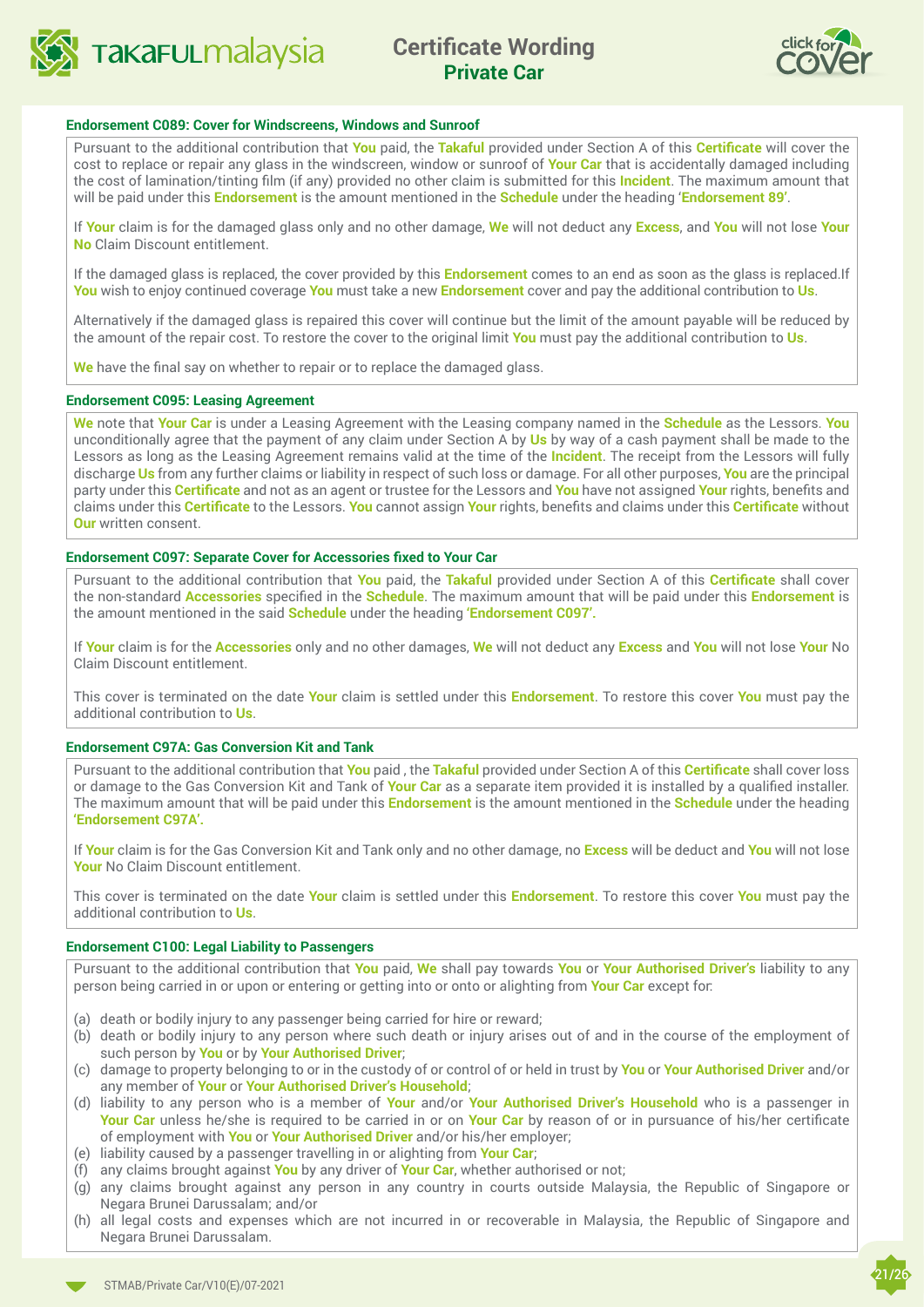<span id="page-20-0"></span>



#### **Endorsement C089: Cover for Windscreens, Windows and Sunroof**

Pursuant to the additional contribution that **You** paid, the **Takaful** provided under Section A of this **Certificate** will cover the cost to replace or repair any glass in the windscreen, window or sunroof of **Your Car** that is accidentally damaged including the cost of lamination/tinting film (if any) provided no other claim is submitted for this **Incident**. The maximum amount that will be paid under this **Endorsement** is the amount mentioned in the **Schedule** under the heading '**Endorsement 89'**.

If **Your** claim is for the damaged glass only and no other damage, **We** will not deduct any **Excess**, and **You** will not lose **Your No** Claim Discount entitlement.

If the damaged glass is replaced, the cover provided by this **Endorsement** comes to an end as soon as the glass is replaced.If **You** wish to enjoy continued coverage **You** must take a new **Endorsement** cover and pay the additional contribution to **Us**.

Alternatively if the damaged glass is repaired this cover will continue but the limit of the amount payable will be reduced by the amount of the repair cost. To restore the cover to the original limit **You** must pay the additional contribution to **Us**.

**We** have the final say on whether to repair or to replace the damaged glass.

#### **Endorsement C095: Leasing Agreement**

**We** note that **Your Car** is under a Leasing Agreement with the Leasing company named in the **Schedule** as the Lessors. **You** unconditionally agree that the payment of any claim under Section A by **Us** by way of a cash payment shall be made to the Lessors as long as the Leasing Agreement remains valid at the time of the **Incident**. The receipt from the Lessors will fully discharge **Us** from any further claims or liability in respect of such loss or damage. For all other purposes, **You** are the principal party under this **Certificate** and not as an agent or trustee for the Lessors and **You** have not assigned **Your** rights, benefits and claims under this **Certificate** to the Lessors. **You** cannot assign **Your** rights, benefits and claims under this **Certificate** without **Our** written consent.

#### **Endorsement C097: Separate Cover for Accessories fixed to Your Car**

Pursuant to the additional contribution that **You** paid, the **Takaful** provided under Section A of this **Certificate** shall cover the non-standard **Accessories** specified in the **Schedule**. The maximum amount that will be paid under this **Endorsement** is the amount mentioned in the said **Schedule** under the heading **'Endorsement C097'.**

If **Your** claim is for the **Accessories** only and no other damages, **We** will not deduct any **Excess** and **You** will not lose **Your** No Claim Discount entitlement.

This cover is terminated on the date **Your** claim is settled under this **Endorsement**. To restore this cover **You** must pay the additional contribution to **Us**.

#### **Endorsement C97A: Gas Conversion Kit and Tank**

Pursuant to the additional contribution that **You** paid , the **Takaful** provided under Section A of this **Certificate** shall cover loss or damage to the Gas Conversion Kit and Tank of **Your Car** as a separate item provided it is installed by a qualified installer. The maximum amount that will be paid under this **Endorsement** is the amount mentioned in the **Schedule** under the heading **'Endorsement C97A'.**

If **Your** claim is for the Gas Conversion Kit and Tank only and no other damage, no **Excess** will be deduct and **You** will not lose **Your** No Claim Discount entitlement.

This cover is terminated on the date **Your** claim is settled under this **Endorsement**. To restore this cover **You** must pay the additional contribution to **Us**.

#### **Endorsement C100: Legal Liability to Passengers**

Pursuant to the additional contribution that **You** paid, **We** shall pay towards **You** or **Your Authorised Driver's** liability to any person being carried in or upon or entering or getting into or onto or alighting from **Your Car** except for:

- (a) death or bodily injury to any passenger being carried for hire or reward;
- (b) death or bodily injury to any person where such death or injury arises out of and in the course of the employment of such person by **You** or by **Your Authorised Driver**;
- (c) damage to property belonging to or in the custody of or control of or held in trust by **You** or **Your Authorised Driver** and/or any member of **Your** or **Your Authorised Driver's Household**;
- (d) liability to any person who is a member of **Your** and/or **Your Authorised Driver's Household** who is a passenger in **Your Car** unless he/she is required to be carried in or on **Your Car** by reason of or in pursuance of his/her certificate of employment with **You** or **Your Authorised Driver** and/or his/her employer;
- (e) liability caused by a passenger travelling in or alighting from **Your Car**;
- (f) any claims brought against **You** by any driver of **Your Car**, whether authorised or not;
- (g) any claims brought against any person in any country in courts outside Malaysia, the Republic of Singapore or Negara Brunei Darussalam; and/or
- (h) all legal costs and expenses which are not incurred in or recoverable in Malaysia, the Republic of Singapore and Negara Brunei Darussalam.

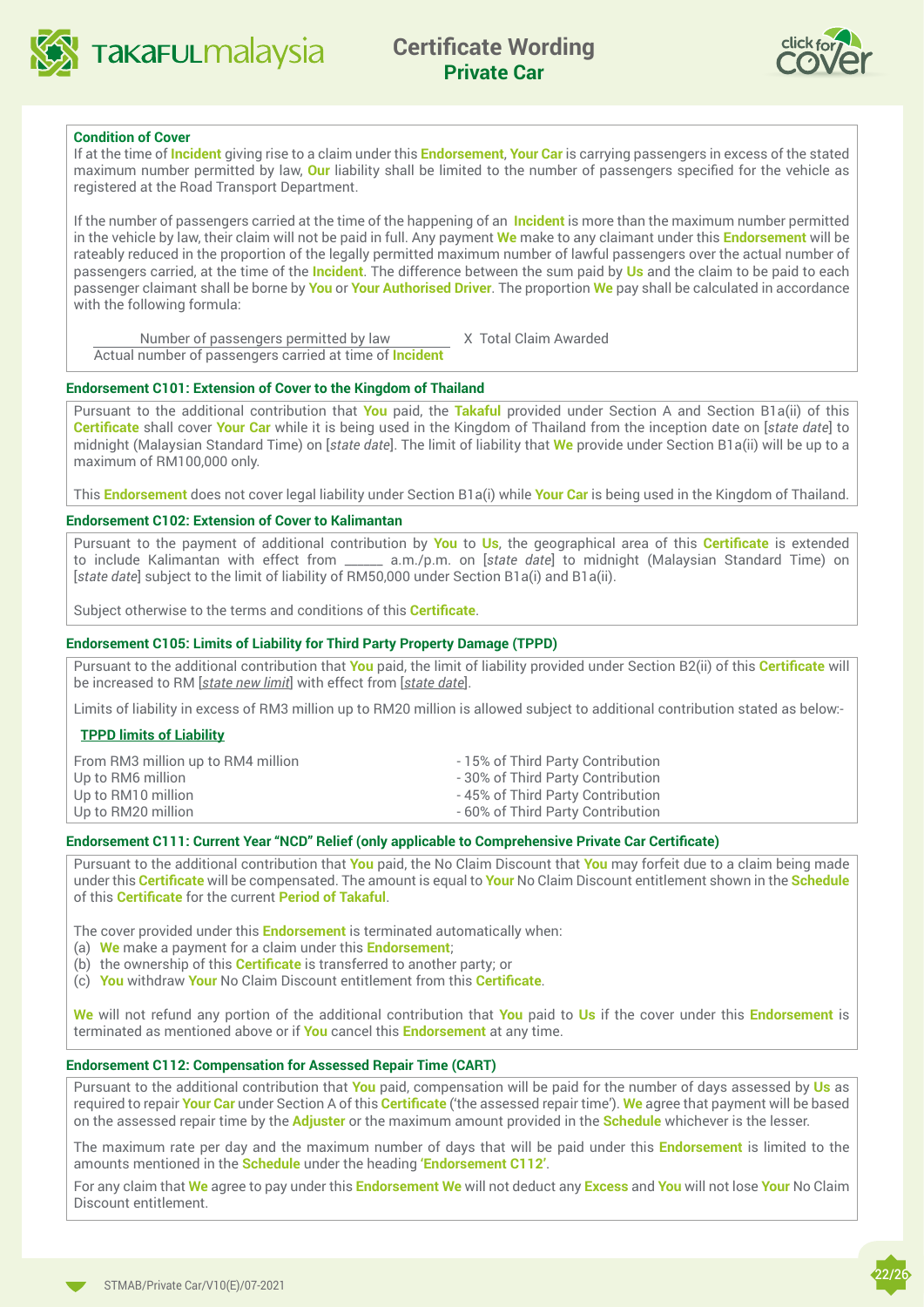



#### **Condition of Cover**

If at the time of **Incident** giving rise to a claim under this **Endorsement**, **Your Car** is carrying passengers in excess of the stated maximum number permitted by law, **Our** liability shall be limited to the number of passengers specified for the vehicle as registered at the Road Transport Department.

If the number of passengers carried at the time of the happening of an **Incident** is more than the maximum number permitted in the vehicle by law, their claim will not be paid in full. Any payment **We** make to any claimant under this **Endorsement** will be rateably reduced in the proportion of the legally permitted maximum number of lawful passengers over the actual number of passengers carried, at the time of the **Incident**. The difference between the sum paid by **Us** and the claim to be paid to each passenger claimant shall be borne by **You** or **Your Authorised Driver**. The proportion **We** pay shall be calculated in accordance with the following formula:

Number of passengers permitted by law X Total Claim Awarded

Actual number of passengers carried at time of **Incident**

#### **Endorsement C101: Extension of Cover to the Kingdom of Thailand**

Pursuant to the additional contribution that **You** paid, the **Takaful** provided under Section A and Section B1a(ii) of this **Certificate** shall cover **Your Car** while it is being used in the Kingdom of Thailand from the inception date on [*state date*] to midnight (Malaysian Standard Time) on [*state date*]. The limit of liability that **We** provide under Section B1a(ii) will be up to a maximum of RM100,000 only.

This **Endorsement** does not cover legal liability under Section B1a(i) while **Your Car** is being used in the Kingdom of Thailand.

#### **Endorsement C102: Extension of Cover to Kalimantan**

Pursuant to the payment of additional contribution by **You** to **Us**, the geographical area of this **Certificate** is extended to include Kalimantan with effect from \_\_\_\_\_\_ a.m./p.m. on [*state date*] to midnight (Malaysian Standard Time) on [*state date*] subject to the limit of liability of RM50,000 under Section B1a(i) and B1a(ii).

Subject otherwise to the terms and conditions of this **Certificate**.

#### **Endorsement C105: Limits of Liability for Third Party Property Damage (TPPD)**

Pursuant to the additional contribution that **You** paid, the limit of liability provided under Section B2(ii) of this **Certificate** will be increased to RM [*state new limit*] with effect from [*state date*].

Limits of liability in excess of RM3 million up to RM20 million is allowed subject to additional contribution stated as below:-

#### **TPPD limits of Liability**

| From RM3 million up to RM4 million<br>Up to RM6 million | -15% of Third Party Contribution<br>-30% of Third Party Contribution |
|---------------------------------------------------------|----------------------------------------------------------------------|
| Up to RM10 million                                      | -45% of Third Party Contribution                                     |
| Up to RM20 million                                      | - 60% of Third Party Contribution                                    |
|                                                         |                                                                      |

#### **Endorsement C111: Current Year "NCD" Relief (only applicable to Comprehensive Private Car Certificate)**

Pursuant to the additional contribution that **You** paid, the No Claim Discount that **You** may forfeit due to a claim being made under this **Certificate** will be compensated. The amount is equal to **Your** No Claim Discount entitlement shown in the **Schedule** of this **Certificate** for the current **Period of Takaful**.

The cover provided under this **Endorsement** is terminated automatically when:

- (a) **We** make a payment for a claim under this **Endorsement**;
- (b) the ownership of this **Certificate** is transferred to another party; or
- (c) **You** withdraw **Your** No Claim Discount entitlement from this **Certificate**.

**We** will not refund any portion of the additional contribution that **You** paid to **Us** if the cover under this **Endorsement** is terminated as mentioned above or if **You** cancel this **Endorsement** at any time.

#### **Endorsement C112: Compensation for Assessed Repair Time (CART)**

Pursuant to the additional contribution that **You** paid, compensation will be paid for the number of days assessed by **Us** as required to repair **Your Car** under Section A of this **Certificate** ('the assessed repair time'). **We** agree that payment will be based on the assessed repair time by the **Adjuster** or the maximum amount provided in the **Schedule** whichever is the lesser.

The maximum rate per day and the maximum number of days that will be paid under this **Endorsement** is limited to the amounts mentioned in the **Schedule** under the heading **'Endorsement C112'**.

For any claim that **We** agree to pay under this **Endorsement We** will not deduct any **Excess** and **You** will not lose **Your** No Claim Discount entitlement.

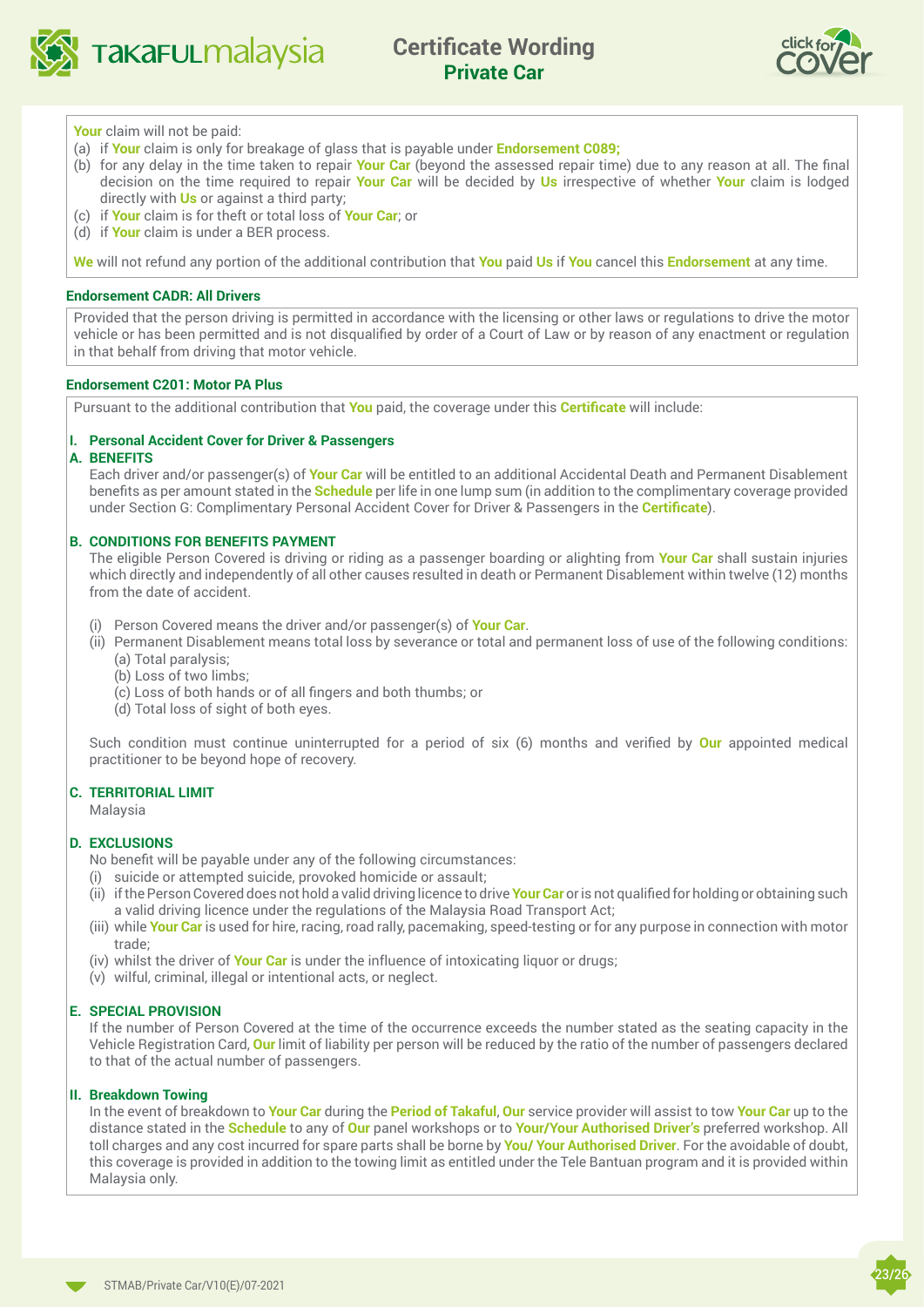

 $\overline{\phantom{a}}$ 



#### **Your** claim will not be paid:

- (a) if **Your** claim is only for breakage of glass that is payable under **Endorsement C089;**
- (b) for any delay in the time taken to repair **Your Car** (beyond the assessed repair time) due to any reason at all. The final decision on the time required to repair **Your Car** will be decided by **Us** irrespective of whether **Your** claim is lodged directly with **Us** or against a third party;
- (c) if **Your** claim is for theft or total loss of **Your Car**; or
- (d) if **Your** claim is under a BER process.

**We** will not refund any portion of the additional contribution that **You** paid **Us** if **You** cancel this **Endorsement** at any time.

#### **Endorsement CADR: All Drivers**

Provided that the person driving is permitted in accordance with the licensing or other laws or regulations to drive the motor vehicle or has been permitted and is not disqualified by order of a Court of Law or by reason of any enactment or regulation in that behalf from driving that motor vehicle.

#### **Endorsement C201: Motor PA Plus**

Pursuant to the additional contribution that **You** paid, the coverage under this **Certificate** will include:

#### **I. Personal Accident Cover for Driver & Passengers**

#### **A. BENEFITS**

Each driver and/or passenger(s) of **Your Car** will be entitled to an additional Accidental Death and Permanent Disablement benefits as per amount stated in the **Schedule** per life in one lump sum (in addition to the complimentary coverage provided under Section G: Complimentary Personal Accident Cover for Driver & Passengers in the **Certificate**).

#### **B. CONDITIONS FOR BENEFITS PAYMENT**

 The eligible Person Covered is driving or riding as a passenger boarding or alighting from **Your Car** shall sustain injuries which directly and independently of all other causes resulted in death or Permanent Disablement within twelve (12) months from the date of accident.

- (i) Person Covered means the driver and/or passenger(s) of **Your Car**.
- (ii) Permanent Disablement means total loss by severance or total and permanent loss of use of the following conditions: (a) Total paralysis;
	- (b) Loss of two limbs;
	- (c) Loss of both hands or of all fingers and both thumbs; or
	- (d) Total loss of sight of both eyes.

Such condition must continue uninterrupted for a period of six (6) months and verified by **Our** appointed medical practitioner to be beyond hope of recovery.

#### **C. TERRITORIAL LIMIT**

Malaysia

#### **D. EXCLUSIONS**

No benefit will be payable under any of the following circumstances:

- (i) suicide or attempted suicide, provoked homicide or assault;
- (ii) if the Person Covered does not hold a valid driving licence to drive **Your Car** or is not qualified for holding or obtaining such a valid driving licence under the regulations of the Malaysia Road Transport Act;
- (iii) while **Your Car** is used for hire, racing, road rally, pacemaking, speed-testing or for any purpose in connection with motor trade;
- (iv) whilst the driver of **Your Car** is under the influence of intoxicating liquor or drugs;
- (v) wilful, criminal, illegal or intentional acts, or neglect.

#### **E. SPECIAL PROVISION**

 If the number of Person Covered at the time of the occurrence exceeds the number stated as the seating capacity in the Vehicle Registration Card, **Our** limit of liability per person will be reduced by the ratio of the number of passengers declared to that of the actual number of passengers.

#### **II. Breakdown Towing**

 In the event of breakdown to **Your Car** during the **Period of Takaful**, **Our** service provider will assist to tow **Your Car** up to the distance stated in the **Schedule** to any of **Our** panel workshops or to **Your/Your Authorised Driver's** preferred workshop. All toll charges and any cost incurred for spare parts shall be borne by **You/ Your Authorised Driver**. For the avoidable of doubt, this coverage is provided in addition to the towing limit as entitled under the Tele Bantuan program and it is provided within Malaysia only.

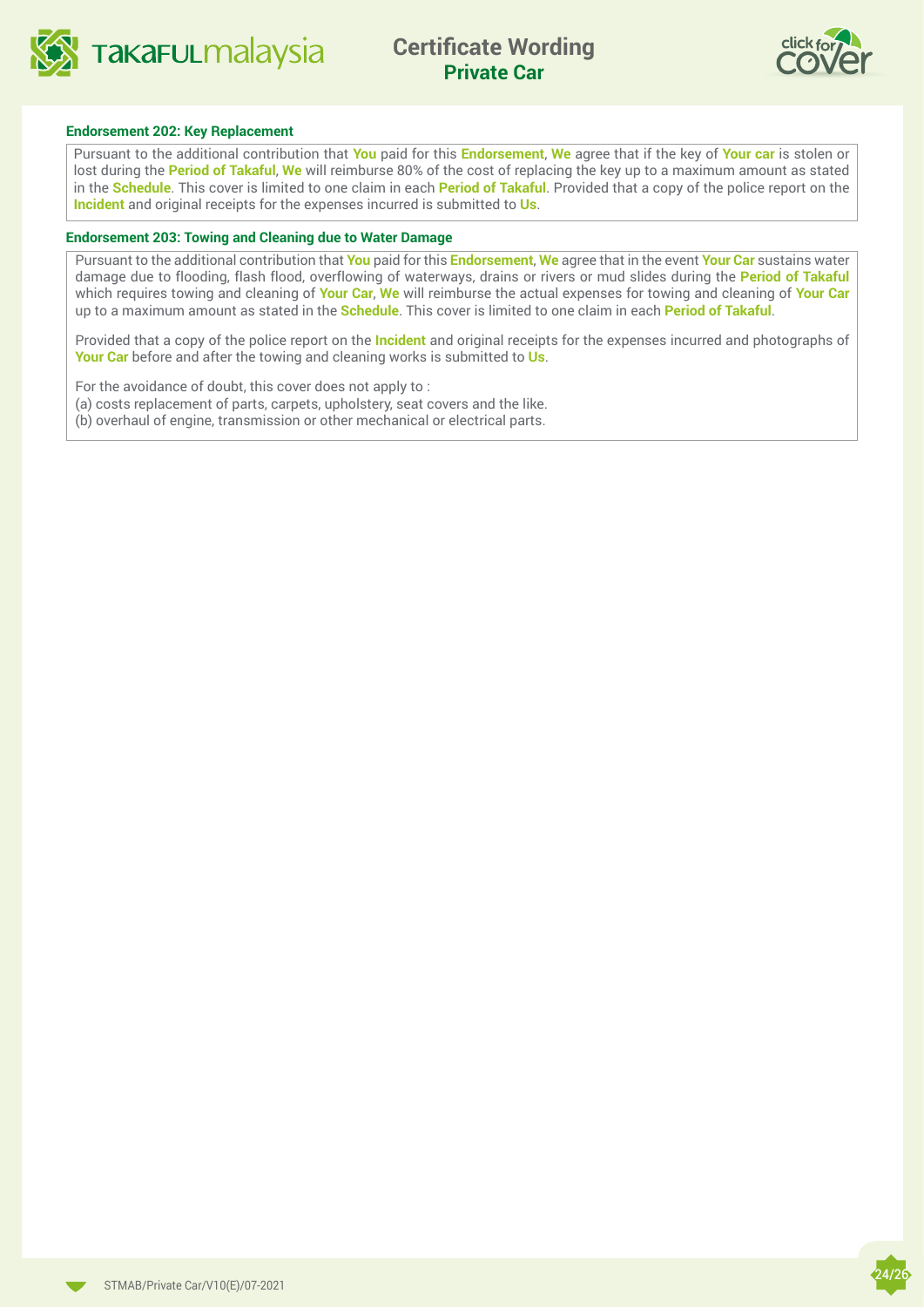



#### **Endorsement 202: Key Replacement**

Pursuant to the additional contribution that **You** paid for this **Endorsement**, **We** agree that if the key of **Your car** is stolen or lost during the **Period of Takaful**, **We** will reimburse 80% of the cost of replacing the key up to a maximum amount as stated in the **Schedule**. This cover is limited to one claim in each **Period of Takaful**. Provided that a copy of the police report on the **Incident** and original receipts for the expenses incurred is submitted to **Us**.

#### **Endorsement 203: Towing and Cleaning due to Water Damage**

Pursuant to the additional contribution that **You** paid for this **Endorsement**, **We** agree that in the event **Your Car** sustains water damage due to flooding, flash flood, overflowing of waterways, drains or rivers or mud slides during the **Period of Takaful** which requires towing and cleaning of **Your Car**, **We** will reimburse the actual expenses for towing and cleaning of **Your Car** up to a maximum amount as stated in the **Schedule**. This cover is limited to one claim in each **Period of Takaful**.

Provided that a copy of the police report on the **Incident** and original receipts for the expenses incurred and photographs of **Your Car** before and after the towing and cleaning works is submitted to **Us**.

For the avoidance of doubt, this cover does not apply to :

(a) costs replacement of parts, carpets, upholstery, seat covers and the like.

(b) overhaul of engine, transmission or other mechanical or electrical parts.



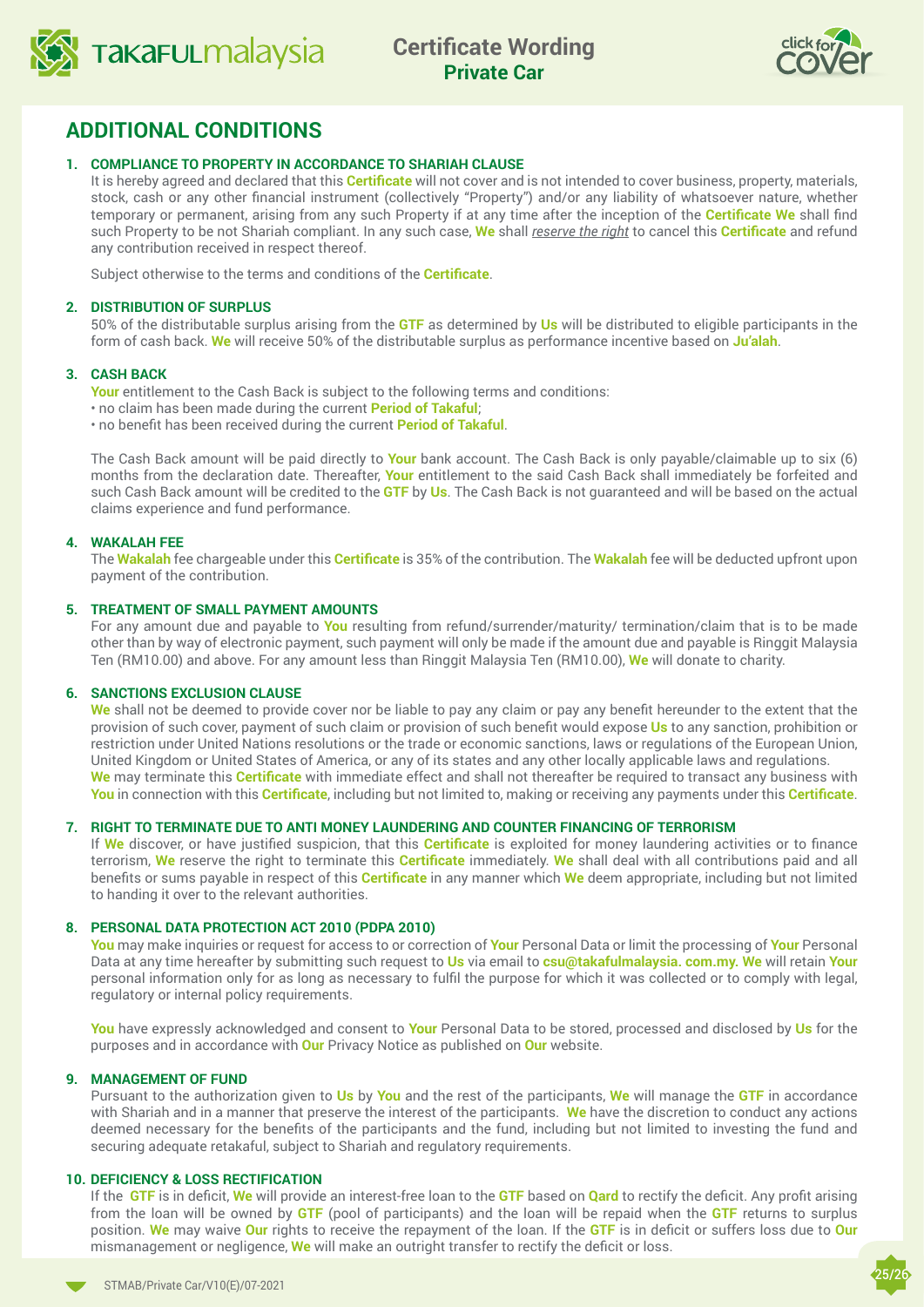



## **ADDITIONAL CONDITIONS**

#### **1. COMPLIANCE TO PROPERTY IN ACCORDANCE TO SHARIAH CLAUSE**

It is hereby agreed and declared that this **Certificate** will not cover and is not intended to cover business, property, materials, stock, cash or any other financial instrument (collectively "Property") and/or any liability of whatsoever nature, whether temporary or permanent, arising from any such Property if at any time after the inception of the **Certificate We** shall find such Property to be not Shariah compliant. In any such case, **We** shall *reserve the right* to cancel this **Certificate** and refund any contribution received in respect thereof.

Subject otherwise to the terms and conditions of the **Certificate**.

#### **2. DISTRIBUTION OF SURPLUS**

50% of the distributable surplus arising from the **GTF** as determined by **Us** will be distributed to eligible participants in the form of cash back. **We** will receive 50% of the distributable surplus as performance incentive based on **Ju'alah**.

#### **3. CASH BACK**

**Your** entitlement to the Cash Back is subject to the following terms and conditions:

- no claim has been made during the current **Period of Takaful**;
- no benefit has been received during the current **Period of Takaful**.

The Cash Back amount will be paid directly to **Your** bank account. The Cash Back is only payable/claimable up to six (6) months from the declaration date. Thereafter, **Your** entitlement to the said Cash Back shall immediately be forfeited and such Cash Back amount will be credited to the **GTF** by **Us**. The Cash Back is not guaranteed and will be based on the actual claims experience and fund performance.

#### **4. WAKALAH FEE**

The **Wakalah** fee chargeable under this **Certificate** is 35% of the contribution. The **Wakalah** fee will be deducted upfront upon payment of the contribution.

#### **5. TREATMENT OF SMALL PAYMENT AMOUNTS**

For any amount due and payable to **You** resulting from refund/surrender/maturity/ termination/claim that is to be made other than by way of electronic payment, such payment will only be made if the amount due and payable is Ringgit Malaysia Ten (RM10.00) and above. For any amount less than Ringgit Malaysia Ten (RM10.00), **We** will donate to charity.

#### **6. SANCTIONS EXCLUSION CLAUSE**

**We** shall not be deemed to provide cover nor be liable to pay any claim or pay any benefit hereunder to the extent that the provision of such cover, payment of such claim or provision of such benefit would expose **Us** to any sanction, prohibition or restriction under United Nations resolutions or the trade or economic sanctions, laws or regulations of the European Union, United Kingdom or United States of America, or any of its states and any other locally applicable laws and regulations. **We** may terminate this **Certificate** with immediate effect and shall not thereafter be required to transact any business with **You** in connection with this **Certificate**, including but not limited to, making or receiving any payments under this **Certificate**.

#### **7. RIGHT TO TERMINATE DUE TO ANTI MONEY LAUNDERING AND COUNTER FINANCING OF TERRORISM**

If **We** discover, or have justified suspicion, that this **Certificate** is exploited for money laundering activities or to finance terrorism, **We** reserve the right to terminate this **Certificate** immediately. **We** shall deal with all contributions paid and all benefits or sums payable in respect of this **Certificate** in any manner which **We** deem appropriate, including but not limited to handing it over to the relevant authorities.

#### **8. PERSONAL DATA PROTECTION ACT 2010 (PDPA 2010)**

**You** may make inquiries or request for access to or correction of **Your** Personal Data or limit the processing of **Your** Personal Data at any time hereafter by submitting such request to **Us** via email to **csu@takafulmalaysia. com.my. We** will retain **Your**  personal information only for as long as necessary to fulfil the purpose for which it was collected or to comply with legal, regulatory or internal policy requirements.

**You** have expressly acknowledged and consent to **Your** Personal Data to be stored, processed and disclosed by **Us** for the purposes and in accordance with **Our** Privacy Notice as published on **Our** website.

#### **9. MANAGEMENT OF FUND**

Pursuant to the authorization given to **Us** by **You** and the rest of the participants, **We** will manage the **GTF** in accordance with Shariah and in a manner that preserve the interest of the participants. **We** have the discretion to conduct any actions deemed necessary for the benefits of the participants and the fund, including but not limited to investing the fund and securing adequate retakaful, subject to Shariah and regulatory requirements.

#### **10. DEFICIENCY & LOSS RECTIFICATION**

If the **GTF** is in deficit, **We** will provide an interest-free loan to the **GTF** based on **Qard** to rectify the deficit. Any profit arising from the loan will be owned by **GTF** (pool of participants) and the loan will be repaid when the **GTF** returns to surplus position. **We** may waive **Our** rights to receive the repayment of the loan. If the **GTF** is in deficit or suffers loss due to **Our**  mismanagement or negligence, **We** will make an outright transfer to rectify the deficit or loss.